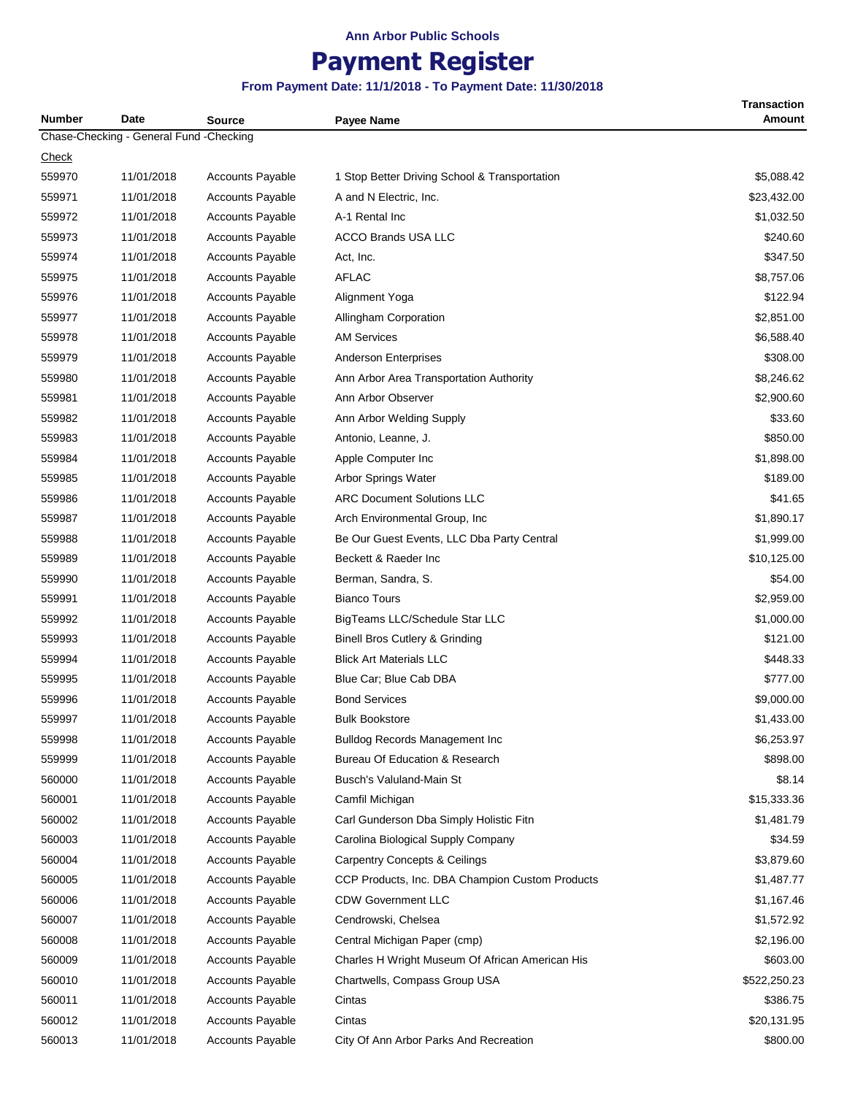# **Payment Register**

|                  |                                                 |                         |                                                                     | <b>Transaction</b> |
|------------------|-------------------------------------------------|-------------------------|---------------------------------------------------------------------|--------------------|
| <b>Number</b>    | Date<br>Chase-Checking - General Fund -Checking | <b>Source</b>           | Payee Name                                                          | Amount             |
| <b>Check</b>     |                                                 |                         |                                                                     |                    |
| 559970           | 11/01/2018                                      | <b>Accounts Payable</b> | 1 Stop Better Driving School & Transportation                       | \$5,088.42         |
| 559971           | 11/01/2018                                      | <b>Accounts Payable</b> | A and N Electric, Inc.                                              | \$23,432.00        |
| 559972           | 11/01/2018                                      | <b>Accounts Payable</b> | A-1 Rental Inc                                                      | \$1,032.50         |
| 559973           | 11/01/2018                                      | <b>Accounts Payable</b> | ACCO Brands USA LLC                                                 | \$240.60           |
| 559974           | 11/01/2018                                      | <b>Accounts Payable</b> | Act, Inc.                                                           | \$347.50           |
| 559975           | 11/01/2018                                      | <b>Accounts Payable</b> | <b>AFLAC</b>                                                        | \$8,757.06         |
| 559976           | 11/01/2018                                      | <b>Accounts Payable</b> | Alignment Yoga                                                      | \$122.94           |
| 559977           | 11/01/2018                                      | <b>Accounts Payable</b> | Allingham Corporation                                               | \$2,851.00         |
| 559978           | 11/01/2018                                      | <b>Accounts Payable</b> | <b>AM Services</b>                                                  | \$6,588.40         |
| 559979           | 11/01/2018                                      | <b>Accounts Payable</b> | Anderson Enterprises                                                | \$308.00           |
| 559980           | 11/01/2018                                      | <b>Accounts Payable</b> | Ann Arbor Area Transportation Authority                             | \$8,246.62         |
| 559981           | 11/01/2018                                      | <b>Accounts Payable</b> | Ann Arbor Observer                                                  | \$2,900.60         |
| 559982           | 11/01/2018                                      | <b>Accounts Payable</b> | Ann Arbor Welding Supply                                            | \$33.60            |
| 559983           | 11/01/2018                                      | <b>Accounts Payable</b> | Antonio, Leanne, J.                                                 | \$850.00           |
| 559984           | 11/01/2018                                      | <b>Accounts Payable</b> | Apple Computer Inc                                                  | \$1,898.00         |
| 559985           | 11/01/2018                                      | <b>Accounts Payable</b> | Arbor Springs Water                                                 | \$189.00           |
|                  |                                                 | <b>Accounts Payable</b> |                                                                     | \$41.65            |
| 559986<br>559987 | 11/01/2018<br>11/01/2018                        | <b>Accounts Payable</b> | <b>ARC Document Solutions LLC</b><br>Arch Environmental Group, Inc. | \$1,890.17         |
|                  | 11/01/2018                                      |                         |                                                                     | \$1,999.00         |
| 559988           |                                                 | <b>Accounts Payable</b> | Be Our Guest Events, LLC Dba Party Central                          |                    |
| 559989           | 11/01/2018                                      | <b>Accounts Payable</b> | Beckett & Raeder Inc                                                | \$10,125.00        |
| 559990           | 11/01/2018                                      | <b>Accounts Payable</b> | Berman, Sandra, S.                                                  | \$54.00            |
| 559991           | 11/01/2018                                      | <b>Accounts Payable</b> | <b>Bianco Tours</b>                                                 | \$2,959.00         |
| 559992           | 11/01/2018                                      | <b>Accounts Payable</b> | BigTeams LLC/Schedule Star LLC                                      | \$1,000.00         |
| 559993           | 11/01/2018                                      | <b>Accounts Payable</b> | <b>Binell Bros Cutlery &amp; Grinding</b>                           | \$121.00           |
| 559994           | 11/01/2018                                      | <b>Accounts Payable</b> | <b>Blick Art Materials LLC</b>                                      | \$448.33           |
| 559995           | 11/01/2018                                      | <b>Accounts Payable</b> | Blue Car; Blue Cab DBA                                              | \$777.00           |
| 559996           | 11/01/2018                                      | <b>Accounts Payable</b> | <b>Bond Services</b>                                                | \$9,000.00         |
| 559997           | 11/01/2018                                      | <b>Accounts Payable</b> | <b>Bulk Bookstore</b>                                               | \$1,433.00         |
| 559998           | 11/01/2018                                      | <b>Accounts Payable</b> | <b>Bulldog Records Management Inc.</b>                              | \$6,253.97         |
| 559999           | 11/01/2018                                      | <b>Accounts Payable</b> | Bureau Of Education & Research                                      | \$898.00           |
| 560000           | 11/01/2018                                      | <b>Accounts Payable</b> | Busch's Valuland-Main St                                            | \$8.14             |
| 560001           | 11/01/2018                                      | <b>Accounts Payable</b> | Camfil Michigan                                                     | \$15,333.36        |
| 560002           | 11/01/2018                                      | <b>Accounts Payable</b> | Carl Gunderson Dba Simply Holistic Fitn                             | \$1,481.79         |
| 560003           | 11/01/2018                                      | <b>Accounts Payable</b> | Carolina Biological Supply Company                                  | \$34.59            |
| 560004           | 11/01/2018                                      | Accounts Payable        | <b>Carpentry Concepts &amp; Ceilings</b>                            | \$3,879.60         |
| 560005           | 11/01/2018                                      | <b>Accounts Payable</b> | CCP Products, Inc. DBA Champion Custom Products                     | \$1,487.77         |
| 560006           | 11/01/2018                                      | <b>Accounts Payable</b> | <b>CDW Government LLC</b>                                           | \$1,167.46         |
| 560007           | 11/01/2018                                      | <b>Accounts Payable</b> | Cendrowski, Chelsea                                                 | \$1,572.92         |
| 560008           | 11/01/2018                                      | <b>Accounts Payable</b> | Central Michigan Paper (cmp)                                        | \$2,196.00         |
| 560009           | 11/01/2018                                      | <b>Accounts Payable</b> | Charles H Wright Museum Of African American His                     | \$603.00           |
| 560010           | 11/01/2018                                      | <b>Accounts Payable</b> | Chartwells, Compass Group USA                                       | \$522,250.23       |
| 560011           | 11/01/2018                                      | <b>Accounts Payable</b> | Cintas                                                              | \$386.75           |
| 560012           | 11/01/2018                                      | <b>Accounts Payable</b> | Cintas                                                              | \$20,131.95        |
| 560013           | 11/01/2018                                      | <b>Accounts Payable</b> | City Of Ann Arbor Parks And Recreation                              | \$800.00           |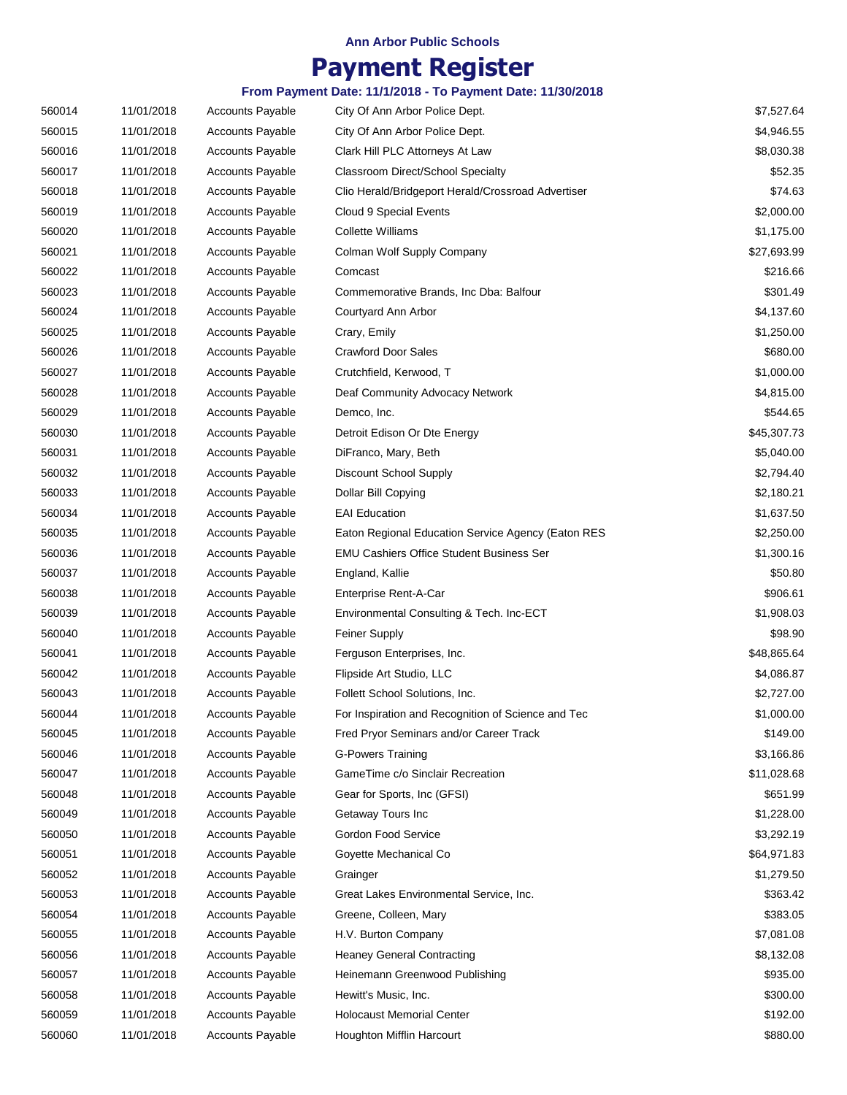## **Payment Register**

| 560014 | 11/01/2018 | <b>Accounts Payable</b> | City Of Ann Arbor Police Dept.                     | \$7,527.64  |
|--------|------------|-------------------------|----------------------------------------------------|-------------|
| 560015 | 11/01/2018 | <b>Accounts Payable</b> | City Of Ann Arbor Police Dept.                     | \$4,946.55  |
| 560016 | 11/01/2018 | <b>Accounts Payable</b> | Clark Hill PLC Attorneys At Law                    | \$8,030.38  |
| 560017 | 11/01/2018 | Accounts Payable        | <b>Classroom Direct/School Specialty</b>           | \$52.35     |
| 560018 | 11/01/2018 | <b>Accounts Payable</b> | Clio Herald/Bridgeport Herald/Crossroad Advertiser | \$74.63     |
| 560019 | 11/01/2018 | <b>Accounts Payable</b> | Cloud 9 Special Events                             | \$2,000.00  |
| 560020 | 11/01/2018 | <b>Accounts Payable</b> | <b>Collette Williams</b>                           | \$1,175.00  |
| 560021 | 11/01/2018 | <b>Accounts Payable</b> | Colman Wolf Supply Company                         | \$27,693.99 |
| 560022 | 11/01/2018 | <b>Accounts Payable</b> | Comcast                                            | \$216.66    |
| 560023 | 11/01/2018 | <b>Accounts Payable</b> | Commemorative Brands, Inc Dba: Balfour             | \$301.49    |
| 560024 | 11/01/2018 | <b>Accounts Payable</b> | Courtyard Ann Arbor                                | \$4,137.60  |
| 560025 | 11/01/2018 | <b>Accounts Payable</b> | Crary, Emily                                       | \$1,250.00  |
| 560026 | 11/01/2018 | <b>Accounts Payable</b> | <b>Crawford Door Sales</b>                         | \$680.00    |
| 560027 | 11/01/2018 | <b>Accounts Payable</b> | Crutchfield, Kerwood, T                            | \$1,000.00  |
| 560028 | 11/01/2018 | <b>Accounts Payable</b> | Deaf Community Advocacy Network                    | \$4,815.00  |
| 560029 | 11/01/2018 | <b>Accounts Payable</b> | Demco, Inc.                                        | \$544.65    |
| 560030 | 11/01/2018 | <b>Accounts Payable</b> | Detroit Edison Or Dte Energy                       | \$45,307.73 |
| 560031 | 11/01/2018 | <b>Accounts Payable</b> | DiFranco, Mary, Beth                               | \$5,040.00  |
| 560032 | 11/01/2018 | <b>Accounts Payable</b> | Discount School Supply                             | \$2,794.40  |
| 560033 | 11/01/2018 | <b>Accounts Payable</b> | Dollar Bill Copying                                | \$2,180.21  |
| 560034 | 11/01/2018 | <b>Accounts Payable</b> | <b>EAI</b> Education                               | \$1,637.50  |
| 560035 | 11/01/2018 | <b>Accounts Payable</b> | Eaton Regional Education Service Agency (Eaton RES | \$2,250.00  |
| 560036 | 11/01/2018 | <b>Accounts Payable</b> | <b>EMU Cashiers Office Student Business Ser</b>    | \$1,300.16  |
| 560037 | 11/01/2018 | <b>Accounts Payable</b> | England, Kallie                                    | \$50.80     |
| 560038 | 11/01/2018 | <b>Accounts Payable</b> | Enterprise Rent-A-Car                              | \$906.61    |
| 560039 | 11/01/2018 | <b>Accounts Payable</b> | Environmental Consulting & Tech. Inc-ECT           | \$1,908.03  |
| 560040 | 11/01/2018 | <b>Accounts Payable</b> | <b>Feiner Supply</b>                               | \$98.90     |
| 560041 | 11/01/2018 | <b>Accounts Payable</b> | Ferguson Enterprises, Inc.                         | \$48,865.64 |
| 560042 | 11/01/2018 | <b>Accounts Payable</b> | Flipside Art Studio, LLC                           | \$4,086.87  |
| 560043 | 11/01/2018 | <b>Accounts Payable</b> | Follett School Solutions, Inc.                     | \$2,727.00  |
| 560044 | 11/01/2018 | <b>Accounts Payable</b> | For Inspiration and Recognition of Science and Tec | \$1,000.00  |
| 560045 | 11/01/2018 | <b>Accounts Payable</b> | Fred Pryor Seminars and/or Career Track            | \$149.00    |
| 560046 | 11/01/2018 | <b>Accounts Payable</b> | <b>G-Powers Training</b>                           | \$3,166.86  |
| 560047 | 11/01/2018 | <b>Accounts Payable</b> | GameTime c/o Sinclair Recreation                   | \$11,028.68 |
| 560048 | 11/01/2018 | <b>Accounts Payable</b> | Gear for Sports, Inc (GFSI)                        | \$651.99    |
| 560049 | 11/01/2018 | <b>Accounts Payable</b> | Getaway Tours Inc                                  | \$1,228.00  |
| 560050 | 11/01/2018 | <b>Accounts Payable</b> | Gordon Food Service                                | \$3,292.19  |
| 560051 | 11/01/2018 | <b>Accounts Payable</b> | Goyette Mechanical Co                              | \$64,971.83 |
| 560052 | 11/01/2018 | <b>Accounts Payable</b> | Grainger                                           | \$1,279.50  |
| 560053 | 11/01/2018 | <b>Accounts Payable</b> | Great Lakes Environmental Service, Inc.            | \$363.42    |
| 560054 | 11/01/2018 | <b>Accounts Payable</b> | Greene, Colleen, Mary                              | \$383.05    |
| 560055 | 11/01/2018 | <b>Accounts Payable</b> | H.V. Burton Company                                | \$7,081.08  |
| 560056 | 11/01/2018 | <b>Accounts Payable</b> | <b>Heaney General Contracting</b>                  | \$8,132.08  |
| 560057 | 11/01/2018 | <b>Accounts Payable</b> | Heinemann Greenwood Publishing                     | \$935.00    |
| 560058 | 11/01/2018 | <b>Accounts Payable</b> | Hewitt's Music, Inc.                               | \$300.00    |
| 560059 | 11/01/2018 | <b>Accounts Payable</b> | <b>Holocaust Memorial Center</b>                   | \$192.00    |
| 560060 | 11/01/2018 | <b>Accounts Payable</b> | Houghton Mifflin Harcourt                          | \$880.00    |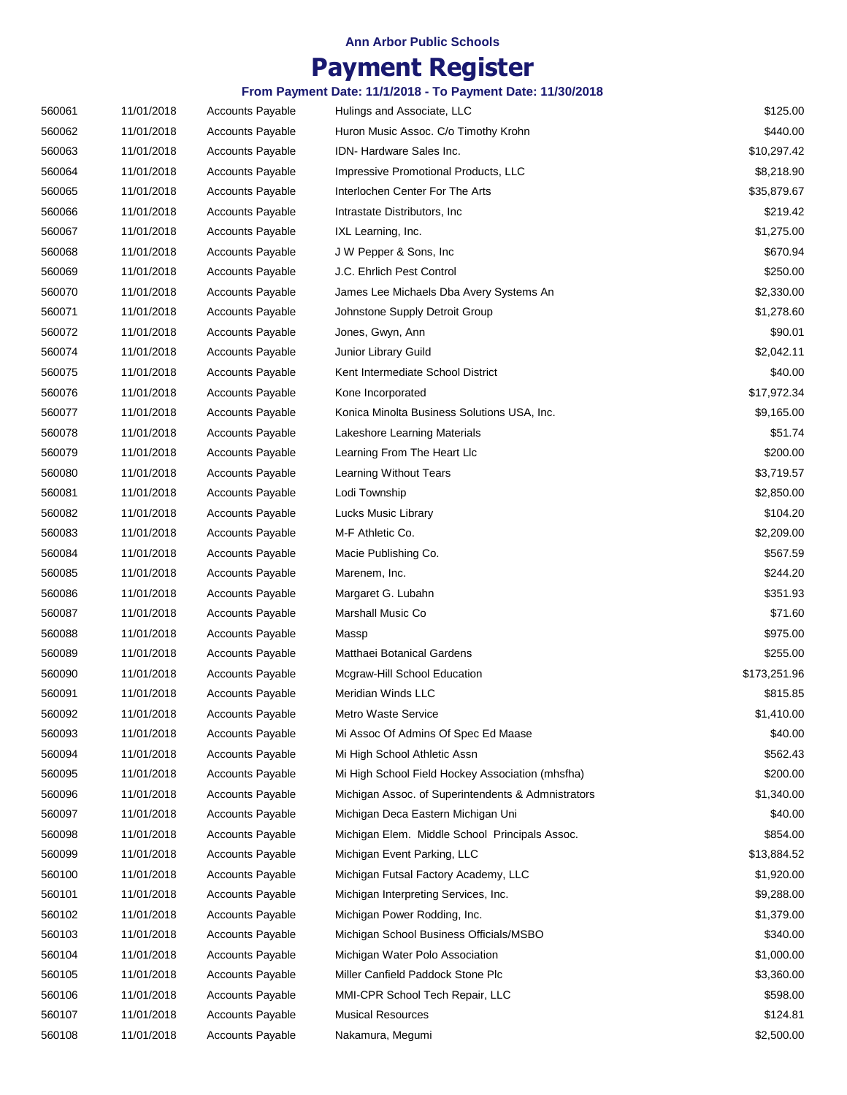## **Payment Register**

| 560061 | 11/01/2018 | <b>Accounts Payable</b> | Hulings and Associate, LLC                         | \$125.00     |
|--------|------------|-------------------------|----------------------------------------------------|--------------|
| 560062 | 11/01/2018 | <b>Accounts Payable</b> | Huron Music Assoc. C/o Timothy Krohn               | \$440.00     |
| 560063 | 11/01/2018 | <b>Accounts Payable</b> | IDN-Hardware Sales Inc.                            | \$10,297.42  |
| 560064 | 11/01/2018 | <b>Accounts Payable</b> | Impressive Promotional Products, LLC               | \$8,218.90   |
| 560065 | 11/01/2018 | <b>Accounts Payable</b> | Interlochen Center For The Arts                    | \$35,879.67  |
| 560066 | 11/01/2018 | <b>Accounts Payable</b> | Intrastate Distributors, Inc.                      | \$219.42     |
| 560067 | 11/01/2018 | <b>Accounts Payable</b> | IXL Learning, Inc.                                 | \$1,275.00   |
| 560068 | 11/01/2018 | <b>Accounts Payable</b> | J W Pepper & Sons, Inc.                            | \$670.94     |
| 560069 | 11/01/2018 | <b>Accounts Payable</b> | J.C. Ehrlich Pest Control                          | \$250.00     |
| 560070 | 11/01/2018 | <b>Accounts Payable</b> | James Lee Michaels Dba Avery Systems An            | \$2,330.00   |
| 560071 | 11/01/2018 | <b>Accounts Payable</b> | Johnstone Supply Detroit Group                     | \$1,278.60   |
| 560072 | 11/01/2018 | <b>Accounts Payable</b> | Jones, Gwyn, Ann                                   | \$90.01      |
| 560074 | 11/01/2018 | <b>Accounts Payable</b> | Junior Library Guild                               | \$2,042.11   |
| 560075 | 11/01/2018 | <b>Accounts Payable</b> | Kent Intermediate School District                  | \$40.00      |
| 560076 | 11/01/2018 | <b>Accounts Payable</b> | Kone Incorporated                                  | \$17,972.34  |
| 560077 | 11/01/2018 | <b>Accounts Payable</b> | Konica Minolta Business Solutions USA, Inc.        | \$9,165.00   |
| 560078 | 11/01/2018 | <b>Accounts Payable</b> | Lakeshore Learning Materials                       | \$51.74      |
| 560079 | 11/01/2018 | <b>Accounts Payable</b> | Learning From The Heart Llc                        | \$200.00     |
| 560080 | 11/01/2018 | <b>Accounts Payable</b> | Learning Without Tears                             | \$3,719.57   |
| 560081 | 11/01/2018 | <b>Accounts Payable</b> | Lodi Township                                      | \$2,850.00   |
| 560082 | 11/01/2018 | <b>Accounts Payable</b> | Lucks Music Library                                | \$104.20     |
| 560083 | 11/01/2018 | <b>Accounts Payable</b> | M-F Athletic Co.                                   | \$2,209.00   |
| 560084 | 11/01/2018 | <b>Accounts Payable</b> | Macie Publishing Co.                               | \$567.59     |
| 560085 | 11/01/2018 | <b>Accounts Payable</b> | Marenem, Inc.                                      | \$244.20     |
| 560086 | 11/01/2018 | <b>Accounts Payable</b> | Margaret G. Lubahn                                 | \$351.93     |
| 560087 | 11/01/2018 | <b>Accounts Payable</b> | Marshall Music Co                                  | \$71.60      |
| 560088 | 11/01/2018 | <b>Accounts Payable</b> | Massp                                              | \$975.00     |
| 560089 | 11/01/2018 | Accounts Payable        | Matthaei Botanical Gardens                         | \$255.00     |
| 560090 | 11/01/2018 | Accounts Payable        | Mcgraw-Hill School Education                       | \$173,251.96 |
| 560091 | 11/01/2018 | <b>Accounts Payable</b> | Meridian Winds LLC                                 | \$815.85     |
| 560092 | 11/01/2018 | <b>Accounts Payable</b> | Metro Waste Service                                | \$1,410.00   |
| 560093 | 11/01/2018 | <b>Accounts Payable</b> | Mi Assoc Of Admins Of Spec Ed Maase                | \$40.00      |
| 560094 | 11/01/2018 | <b>Accounts Payable</b> | Mi High School Athletic Assn                       | \$562.43     |
| 560095 | 11/01/2018 | <b>Accounts Payable</b> | Mi High School Field Hockey Association (mhsfha)   | \$200.00     |
| 560096 | 11/01/2018 | Accounts Payable        | Michigan Assoc. of Superintendents & Admnistrators | \$1,340.00   |
| 560097 | 11/01/2018 | <b>Accounts Payable</b> | Michigan Deca Eastern Michigan Uni                 | \$40.00      |
| 560098 | 11/01/2018 | <b>Accounts Payable</b> | Michigan Elem. Middle School Principals Assoc.     | \$854.00     |
| 560099 | 11/01/2018 | <b>Accounts Payable</b> | Michigan Event Parking, LLC                        | \$13,884.52  |
| 560100 | 11/01/2018 | Accounts Payable        | Michigan Futsal Factory Academy, LLC               | \$1,920.00   |
| 560101 | 11/01/2018 | <b>Accounts Payable</b> | Michigan Interpreting Services, Inc.               | \$9,288.00   |
| 560102 | 11/01/2018 | <b>Accounts Payable</b> | Michigan Power Rodding, Inc.                       | \$1,379.00   |
| 560103 | 11/01/2018 | Accounts Payable        | Michigan School Business Officials/MSBO            | \$340.00     |
| 560104 | 11/01/2018 | <b>Accounts Payable</b> | Michigan Water Polo Association                    | \$1,000.00   |
| 560105 | 11/01/2018 | <b>Accounts Payable</b> | Miller Canfield Paddock Stone Plc                  | \$3,360.00   |
| 560106 | 11/01/2018 | <b>Accounts Payable</b> | MMI-CPR School Tech Repair, LLC                    | \$598.00     |
| 560107 | 11/01/2018 | Accounts Payable        | <b>Musical Resources</b>                           | \$124.81     |
| 560108 | 11/01/2018 | <b>Accounts Payable</b> | Nakamura, Megumi                                   | \$2,500.00   |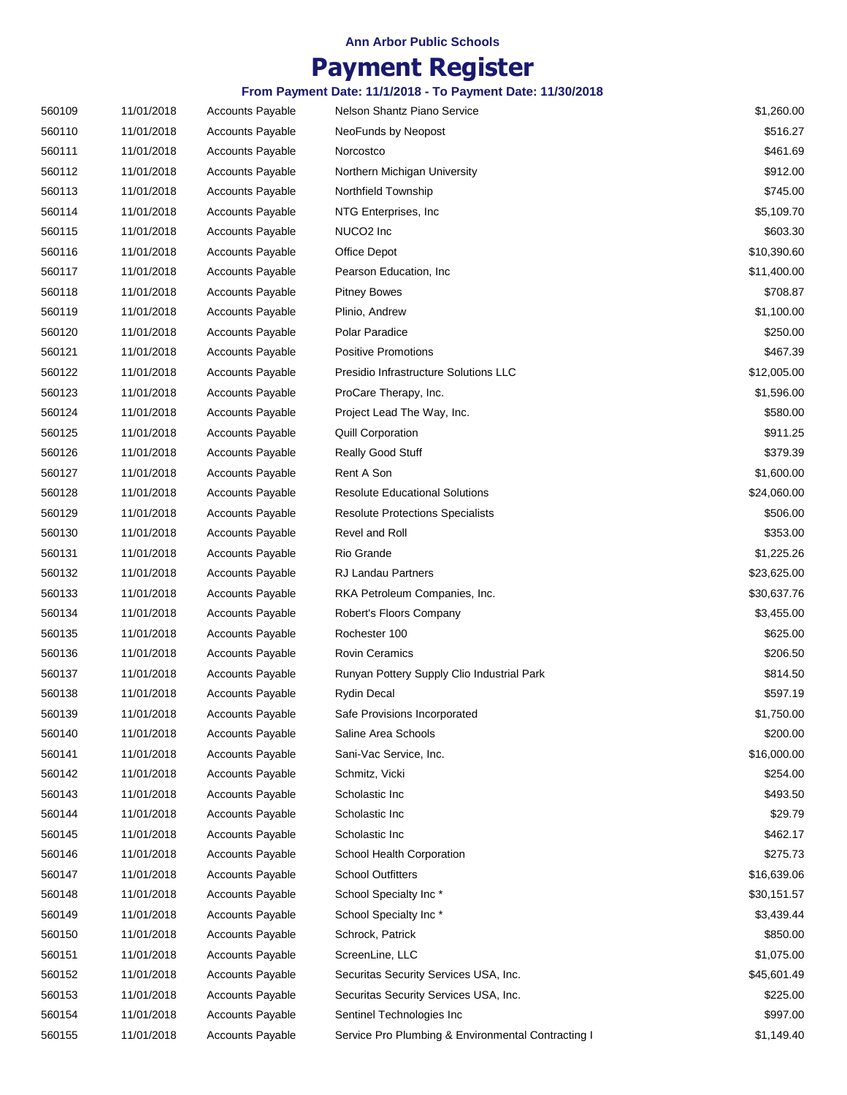## **Payment Register**

| 560109 | 11/01/2018 | <b>Accounts Payable</b> | Nelson Shantz Piano Service                        | \$1,260.00  |
|--------|------------|-------------------------|----------------------------------------------------|-------------|
| 560110 | 11/01/2018 | <b>Accounts Payable</b> | NeoFunds by Neopost                                | \$516.27    |
| 560111 | 11/01/2018 | <b>Accounts Payable</b> | Norcostco                                          | \$461.69    |
| 560112 | 11/01/2018 | Accounts Payable        | Northern Michigan University                       | \$912.00    |
| 560113 | 11/01/2018 | <b>Accounts Payable</b> | Northfield Township                                | \$745.00    |
| 560114 | 11/01/2018 | <b>Accounts Payable</b> | NTG Enterprises, Inc.                              | \$5,109.70  |
| 560115 | 11/01/2018 | <b>Accounts Payable</b> | NUCO2 Inc                                          | \$603.30    |
| 560116 | 11/01/2018 | <b>Accounts Payable</b> | Office Depot                                       | \$10,390.60 |
| 560117 | 11/01/2018 | <b>Accounts Payable</b> | Pearson Education, Inc.                            | \$11,400.00 |
| 560118 | 11/01/2018 | <b>Accounts Payable</b> | <b>Pitney Bowes</b>                                | \$708.87    |
| 560119 | 11/01/2018 | <b>Accounts Payable</b> | Plinio, Andrew                                     | \$1,100.00  |
| 560120 | 11/01/2018 | <b>Accounts Payable</b> | Polar Paradice                                     | \$250.00    |
| 560121 | 11/01/2018 | <b>Accounts Payable</b> | <b>Positive Promotions</b>                         | \$467.39    |
| 560122 | 11/01/2018 | <b>Accounts Payable</b> | Presidio Infrastructure Solutions LLC              | \$12,005.00 |
| 560123 | 11/01/2018 | <b>Accounts Payable</b> | ProCare Therapy, Inc.                              | \$1,596.00  |
| 560124 | 11/01/2018 | <b>Accounts Payable</b> | Project Lead The Way, Inc.                         | \$580.00    |
| 560125 | 11/01/2018 | <b>Accounts Payable</b> | <b>Quill Corporation</b>                           | \$911.25    |
| 560126 | 11/01/2018 | <b>Accounts Payable</b> | <b>Really Good Stuff</b>                           | \$379.39    |
| 560127 | 11/01/2018 | <b>Accounts Payable</b> | Rent A Son                                         | \$1,600.00  |
| 560128 | 11/01/2018 | <b>Accounts Payable</b> | <b>Resolute Educational Solutions</b>              | \$24,060.00 |
| 560129 | 11/01/2018 | <b>Accounts Payable</b> | <b>Resolute Protections Specialists</b>            | \$506.00    |
| 560130 | 11/01/2018 | <b>Accounts Payable</b> | Revel and Roll                                     | \$353.00    |
| 560131 | 11/01/2018 | <b>Accounts Payable</b> | Rio Grande                                         | \$1,225.26  |
| 560132 | 11/01/2018 | <b>Accounts Payable</b> | <b>RJ Landau Partners</b>                          | \$23,625.00 |
| 560133 | 11/01/2018 | <b>Accounts Payable</b> | RKA Petroleum Companies, Inc.                      | \$30,637.76 |
| 560134 | 11/01/2018 | <b>Accounts Payable</b> | Robert's Floors Company                            | \$3,455.00  |
| 560135 | 11/01/2018 | <b>Accounts Payable</b> | Rochester 100                                      | \$625.00    |
| 560136 | 11/01/2018 | <b>Accounts Payable</b> | <b>Rovin Ceramics</b>                              | \$206.50    |
| 560137 | 11/01/2018 | <b>Accounts Payable</b> | Runyan Pottery Supply Clio Industrial Park         | \$814.50    |
| 560138 | 11/01/2018 | <b>Accounts Payable</b> | <b>Rydin Decal</b>                                 | \$597.19    |
| 560139 | 11/01/2018 | <b>Accounts Payable</b> | Safe Provisions Incorporated                       | \$1,750.00  |
| 560140 | 11/01/2018 | <b>Accounts Payable</b> | Saline Area Schools                                | \$200.00    |
| 560141 | 11/01/2018 | <b>Accounts Payable</b> | Sani-Vac Service, Inc.                             | \$16,000.00 |
| 560142 | 11/01/2018 | <b>Accounts Payable</b> | Schmitz, Vicki                                     | \$254.00    |
| 560143 | 11/01/2018 | <b>Accounts Payable</b> | Scholastic Inc                                     | \$493.50    |
| 560144 | 11/01/2018 | <b>Accounts Payable</b> | Scholastic Inc                                     | \$29.79     |
| 560145 | 11/01/2018 | <b>Accounts Payable</b> | Scholastic Inc                                     | \$462.17    |
| 560146 | 11/01/2018 | <b>Accounts Payable</b> | School Health Corporation                          | \$275.73    |
| 560147 | 11/01/2018 | <b>Accounts Payable</b> | <b>School Outfitters</b>                           | \$16,639.06 |
| 560148 | 11/01/2018 | <b>Accounts Payable</b> | School Specialty Inc*                              | \$30,151.57 |
| 560149 | 11/01/2018 | <b>Accounts Payable</b> | School Specialty Inc*                              | \$3,439.44  |
| 560150 | 11/01/2018 | <b>Accounts Payable</b> | Schrock, Patrick                                   | \$850.00    |
| 560151 | 11/01/2018 | <b>Accounts Payable</b> | ScreenLine, LLC                                    | \$1,075.00  |
| 560152 | 11/01/2018 | <b>Accounts Payable</b> | Securitas Security Services USA, Inc.              | \$45,601.49 |
| 560153 | 11/01/2018 | <b>Accounts Payable</b> | Securitas Security Services USA, Inc.              | \$225.00    |
| 560154 | 11/01/2018 | <b>Accounts Payable</b> | Sentinel Technologies Inc                          | \$997.00    |
| 560155 | 11/01/2018 | <b>Accounts Payable</b> | Service Pro Plumbing & Environmental Contracting I | \$1,149.40  |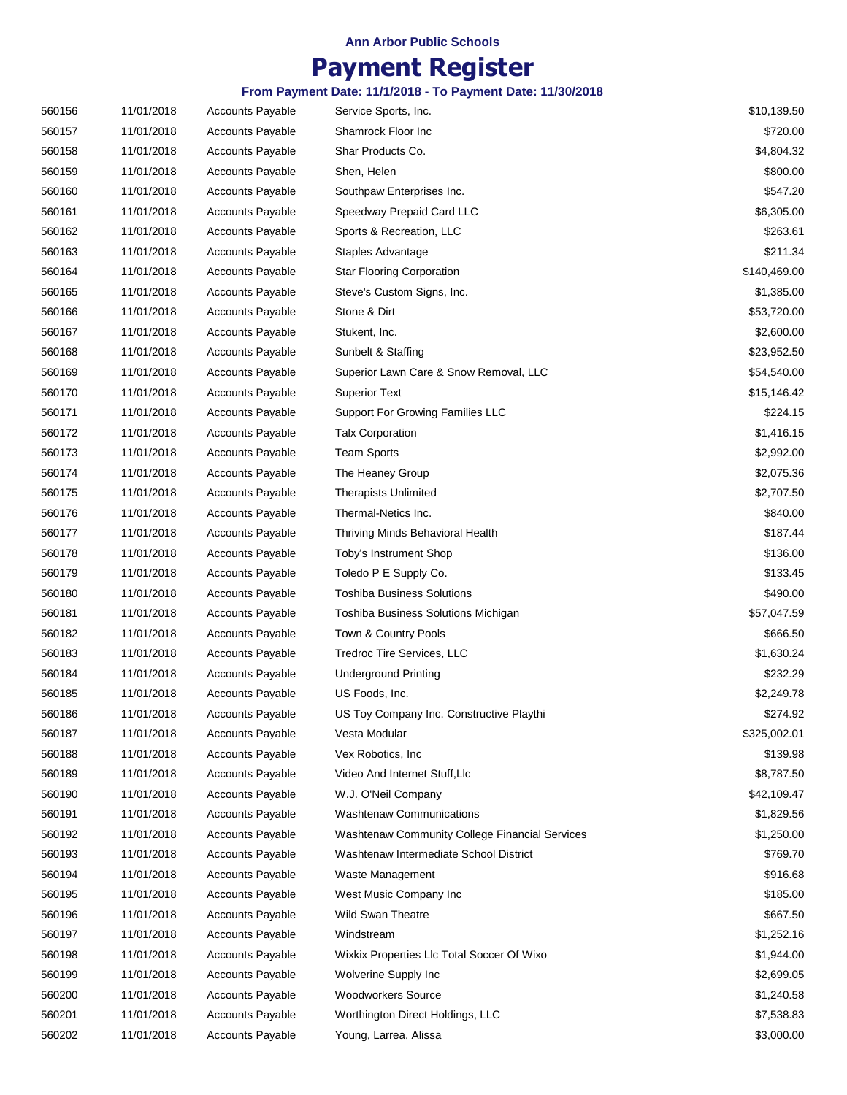## **Payment Register**

| 560156 | 11/01/2018 | <b>Accounts Payable</b> | Service Sports, Inc.                           | \$10,139.50  |
|--------|------------|-------------------------|------------------------------------------------|--------------|
| 560157 | 11/01/2018 | <b>Accounts Payable</b> | Shamrock Floor Inc                             | \$720.00     |
| 560158 | 11/01/2018 | <b>Accounts Payable</b> | Shar Products Co.                              | \$4,804.32   |
| 560159 | 11/01/2018 | Accounts Payable        | Shen, Helen                                    | \$800.00     |
| 560160 | 11/01/2018 | <b>Accounts Payable</b> | Southpaw Enterprises Inc.                      | \$547.20     |
| 560161 | 11/01/2018 | <b>Accounts Payable</b> | Speedway Prepaid Card LLC                      | \$6,305.00   |
| 560162 | 11/01/2018 | <b>Accounts Payable</b> | Sports & Recreation, LLC                       | \$263.61     |
| 560163 | 11/01/2018 | <b>Accounts Payable</b> | Staples Advantage                              | \$211.34     |
| 560164 | 11/01/2018 | <b>Accounts Payable</b> | <b>Star Flooring Corporation</b>               | \$140,469.00 |
| 560165 | 11/01/2018 | <b>Accounts Payable</b> | Steve's Custom Signs, Inc.                     | \$1,385.00   |
| 560166 | 11/01/2018 | <b>Accounts Payable</b> | Stone & Dirt                                   | \$53,720.00  |
| 560167 | 11/01/2018 | <b>Accounts Payable</b> | Stukent, Inc.                                  | \$2,600.00   |
| 560168 | 11/01/2018 | <b>Accounts Payable</b> | Sunbelt & Staffing                             | \$23,952.50  |
| 560169 | 11/01/2018 | <b>Accounts Payable</b> | Superior Lawn Care & Snow Removal, LLC         | \$54,540.00  |
| 560170 | 11/01/2018 | <b>Accounts Payable</b> | <b>Superior Text</b>                           | \$15,146.42  |
| 560171 | 11/01/2018 | Accounts Payable        | Support For Growing Families LLC               | \$224.15     |
| 560172 | 11/01/2018 | <b>Accounts Payable</b> | <b>Talx Corporation</b>                        | \$1,416.15   |
| 560173 | 11/01/2018 | <b>Accounts Payable</b> | <b>Team Sports</b>                             | \$2,992.00   |
| 560174 | 11/01/2018 | <b>Accounts Payable</b> | The Heaney Group                               | \$2,075.36   |
| 560175 | 11/01/2018 | <b>Accounts Payable</b> | <b>Therapists Unlimited</b>                    | \$2,707.50   |
| 560176 | 11/01/2018 | <b>Accounts Payable</b> | Thermal-Netics Inc.                            | \$840.00     |
| 560177 | 11/01/2018 | <b>Accounts Payable</b> | Thriving Minds Behavioral Health               | \$187.44     |
| 560178 | 11/01/2018 | <b>Accounts Payable</b> | Toby's Instrument Shop                         | \$136.00     |
| 560179 | 11/01/2018 | <b>Accounts Payable</b> | Toledo P E Supply Co.                          | \$133.45     |
| 560180 | 11/01/2018 | <b>Accounts Payable</b> | <b>Toshiba Business Solutions</b>              | \$490.00     |
| 560181 | 11/01/2018 | <b>Accounts Payable</b> | Toshiba Business Solutions Michigan            | \$57,047.59  |
| 560182 | 11/01/2018 | <b>Accounts Payable</b> | Town & Country Pools                           | \$666.50     |
| 560183 | 11/01/2018 | Accounts Payable        | Tredroc Tire Services, LLC                     | \$1,630.24   |
| 560184 | 11/01/2018 | <b>Accounts Payable</b> | <b>Underground Printing</b>                    | \$232.29     |
| 560185 | 11/01/2018 | <b>Accounts Payable</b> | US Foods, Inc.                                 | \$2,249.78   |
| 560186 | 11/01/2018 | <b>Accounts Payable</b> | US Toy Company Inc. Constructive Playthi       | \$274.92     |
| 560187 | 11/01/2018 | <b>Accounts Payable</b> | Vesta Modular                                  | \$325,002.01 |
| 560188 | 11/01/2018 | <b>Accounts Payable</b> | Vex Robotics, Inc.                             | \$139.98     |
| 560189 | 11/01/2018 | <b>Accounts Payable</b> | Video And Internet Stuff, Llc                  | \$8,787.50   |
| 560190 | 11/01/2018 | <b>Accounts Payable</b> | W.J. O'Neil Company                            | \$42,109.47  |
| 560191 | 11/01/2018 | <b>Accounts Payable</b> | <b>Washtenaw Communications</b>                | \$1,829.56   |
| 560192 | 11/01/2018 | <b>Accounts Payable</b> | Washtenaw Community College Financial Services | \$1,250.00   |
| 560193 | 11/01/2018 | <b>Accounts Payable</b> | Washtenaw Intermediate School District         | \$769.70     |
| 560194 | 11/01/2018 | Accounts Payable        | Waste Management                               | \$916.68     |
| 560195 | 11/01/2018 | <b>Accounts Payable</b> | West Music Company Inc                         | \$185.00     |
| 560196 | 11/01/2018 | <b>Accounts Payable</b> | <b>Wild Swan Theatre</b>                       | \$667.50     |
| 560197 | 11/01/2018 | Accounts Payable        | Windstream                                     | \$1,252.16   |
| 560198 | 11/01/2018 | <b>Accounts Payable</b> | Wixkix Properties Llc Total Soccer Of Wixo     | \$1,944.00   |
| 560199 | 11/01/2018 | <b>Accounts Payable</b> | Wolverine Supply Inc                           | \$2,699.05   |
| 560200 | 11/01/2018 | <b>Accounts Payable</b> | <b>Woodworkers Source</b>                      | \$1,240.58   |
| 560201 | 11/01/2018 | Accounts Payable        | Worthington Direct Holdings, LLC               | \$7,538.83   |
| 560202 | 11/01/2018 | <b>Accounts Payable</b> | Young, Larrea, Alissa                          | \$3,000.00   |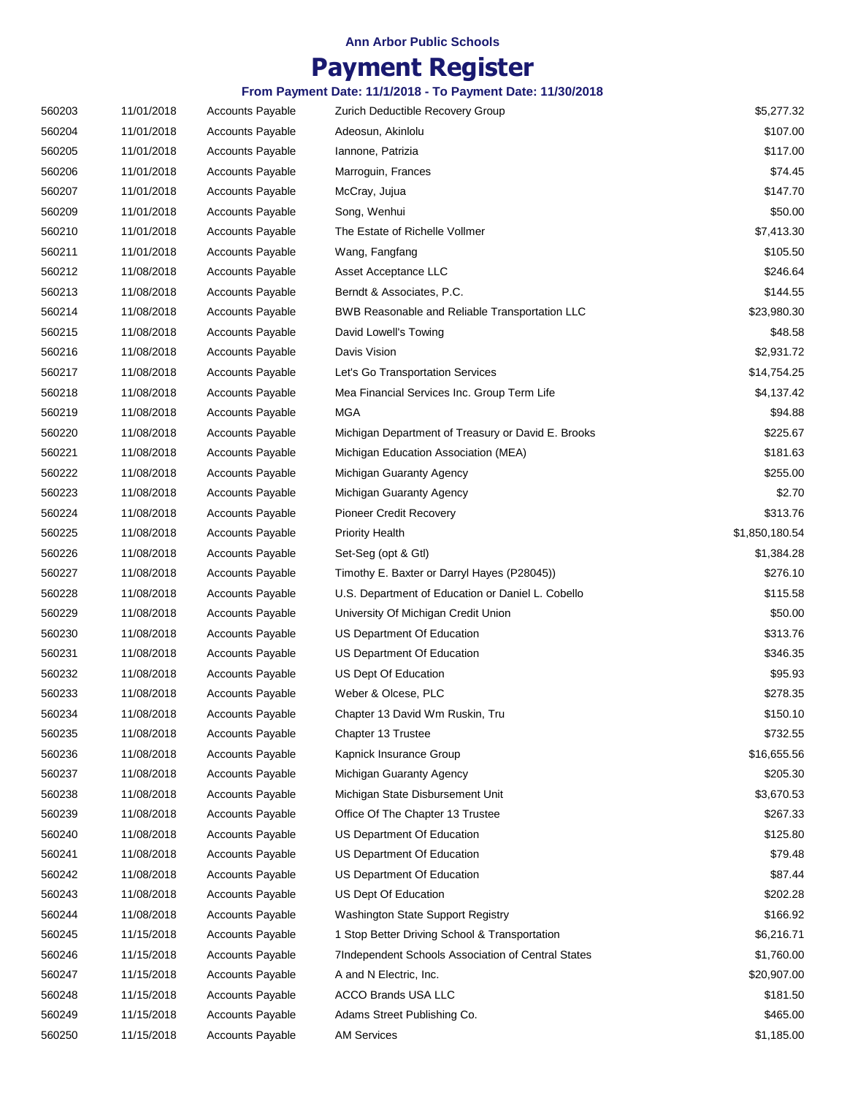## **Payment Register**

| 560203 | 11/01/2018 | <b>Accounts Payable</b> | Zurich Deductible Recovery Group                   | \$5,277.32     |
|--------|------------|-------------------------|----------------------------------------------------|----------------|
| 560204 | 11/01/2018 | <b>Accounts Payable</b> | Adeosun, Akinlolu                                  | \$107.00       |
| 560205 | 11/01/2018 | <b>Accounts Payable</b> | Iannone, Patrizia                                  | \$117.00       |
| 560206 | 11/01/2018 | <b>Accounts Payable</b> | Marroguin, Frances                                 | \$74.45        |
| 560207 | 11/01/2018 | <b>Accounts Payable</b> | McCray, Jujua                                      | \$147.70       |
| 560209 | 11/01/2018 | <b>Accounts Payable</b> | Song, Wenhui                                       | \$50.00        |
| 560210 | 11/01/2018 | <b>Accounts Payable</b> | The Estate of Richelle Vollmer                     | \$7,413.30     |
| 560211 | 11/01/2018 | <b>Accounts Payable</b> | Wang, Fangfang                                     | \$105.50       |
| 560212 | 11/08/2018 | <b>Accounts Payable</b> | Asset Acceptance LLC                               | \$246.64       |
| 560213 | 11/08/2018 | <b>Accounts Payable</b> | Berndt & Associates, P.C.                          | \$144.55       |
| 560214 | 11/08/2018 | <b>Accounts Payable</b> | BWB Reasonable and Reliable Transportation LLC     | \$23,980.30    |
| 560215 | 11/08/2018 | <b>Accounts Payable</b> | David Lowell's Towing                              | \$48.58        |
| 560216 | 11/08/2018 | <b>Accounts Payable</b> | Davis Vision                                       | \$2,931.72     |
| 560217 | 11/08/2018 | <b>Accounts Payable</b> | Let's Go Transportation Services                   | \$14,754.25    |
| 560218 | 11/08/2018 | <b>Accounts Payable</b> | Mea Financial Services Inc. Group Term Life        | \$4,137.42     |
| 560219 | 11/08/2018 | <b>Accounts Payable</b> | <b>MGA</b>                                         | \$94.88        |
| 560220 | 11/08/2018 | <b>Accounts Payable</b> | Michigan Department of Treasury or David E. Brooks | \$225.67       |
| 560221 | 11/08/2018 | <b>Accounts Payable</b> | Michigan Education Association (MEA)               | \$181.63       |
| 560222 | 11/08/2018 | <b>Accounts Payable</b> | Michigan Guaranty Agency                           | \$255.00       |
| 560223 | 11/08/2018 | <b>Accounts Payable</b> | Michigan Guaranty Agency                           | \$2.70         |
| 560224 | 11/08/2018 | <b>Accounts Payable</b> | <b>Pioneer Credit Recovery</b>                     | \$313.76       |
| 560225 | 11/08/2018 | <b>Accounts Payable</b> | <b>Priority Health</b>                             | \$1,850,180.54 |
| 560226 | 11/08/2018 | <b>Accounts Payable</b> | Set-Seg (opt & Gtl)                                | \$1,384.28     |
| 560227 | 11/08/2018 | <b>Accounts Payable</b> | Timothy E. Baxter or Darryl Hayes (P28045))        | \$276.10       |
| 560228 | 11/08/2018 | <b>Accounts Payable</b> | U.S. Department of Education or Daniel L. Cobello  | \$115.58       |
| 560229 | 11/08/2018 | <b>Accounts Payable</b> | University Of Michigan Credit Union                | \$50.00        |
| 560230 | 11/08/2018 | <b>Accounts Payable</b> | US Department Of Education                         | \$313.76       |
| 560231 | 11/08/2018 | Accounts Payable        | US Department Of Education                         | \$346.35       |
| 560232 | 11/08/2018 | <b>Accounts Payable</b> | US Dept Of Education                               | \$95.93        |
| 560233 | 11/08/2018 | <b>Accounts Payable</b> | Weber & Olcese, PLC                                | \$278.35       |
| 560234 | 11/08/2018 | <b>Accounts Payable</b> | Chapter 13 David Wm Ruskin, Tru                    | \$150.10       |
| 560235 | 11/08/2018 | <b>Accounts Payable</b> | Chapter 13 Trustee                                 | \$732.55       |
| 560236 | 11/08/2018 | <b>Accounts Payable</b> | Kapnick Insurance Group                            | \$16,655.56    |
| 560237 | 11/08/2018 | <b>Accounts Payable</b> | Michigan Guaranty Agency                           | \$205.30       |
| 560238 | 11/08/2018 | <b>Accounts Payable</b> | Michigan State Disbursement Unit                   | \$3,670.53     |
| 560239 | 11/08/2018 | <b>Accounts Payable</b> | Office Of The Chapter 13 Trustee                   | \$267.33       |
| 560240 | 11/08/2018 | <b>Accounts Payable</b> | <b>US Department Of Education</b>                  | \$125.80       |
| 560241 | 11/08/2018 | <b>Accounts Payable</b> | US Department Of Education                         | \$79.48        |
| 560242 | 11/08/2018 | <b>Accounts Payable</b> | US Department Of Education                         | \$87.44        |
| 560243 | 11/08/2018 | <b>Accounts Payable</b> | US Dept Of Education                               | \$202.28       |
| 560244 | 11/08/2018 | <b>Accounts Payable</b> | Washington State Support Registry                  | \$166.92       |
| 560245 | 11/15/2018 | <b>Accounts Payable</b> | 1 Stop Better Driving School & Transportation      | \$6,216.71     |
| 560246 | 11/15/2018 | <b>Accounts Payable</b> | 7Independent Schools Association of Central States | \$1,760.00     |
| 560247 | 11/15/2018 | <b>Accounts Payable</b> | A and N Electric, Inc.                             | \$20,907.00    |
| 560248 | 11/15/2018 | <b>Accounts Payable</b> | ACCO Brands USA LLC                                | \$181.50       |
| 560249 | 11/15/2018 | <b>Accounts Payable</b> | Adams Street Publishing Co.                        | \$465.00       |
| 560250 | 11/15/2018 | <b>Accounts Payable</b> | <b>AM Services</b>                                 | \$1,185.00     |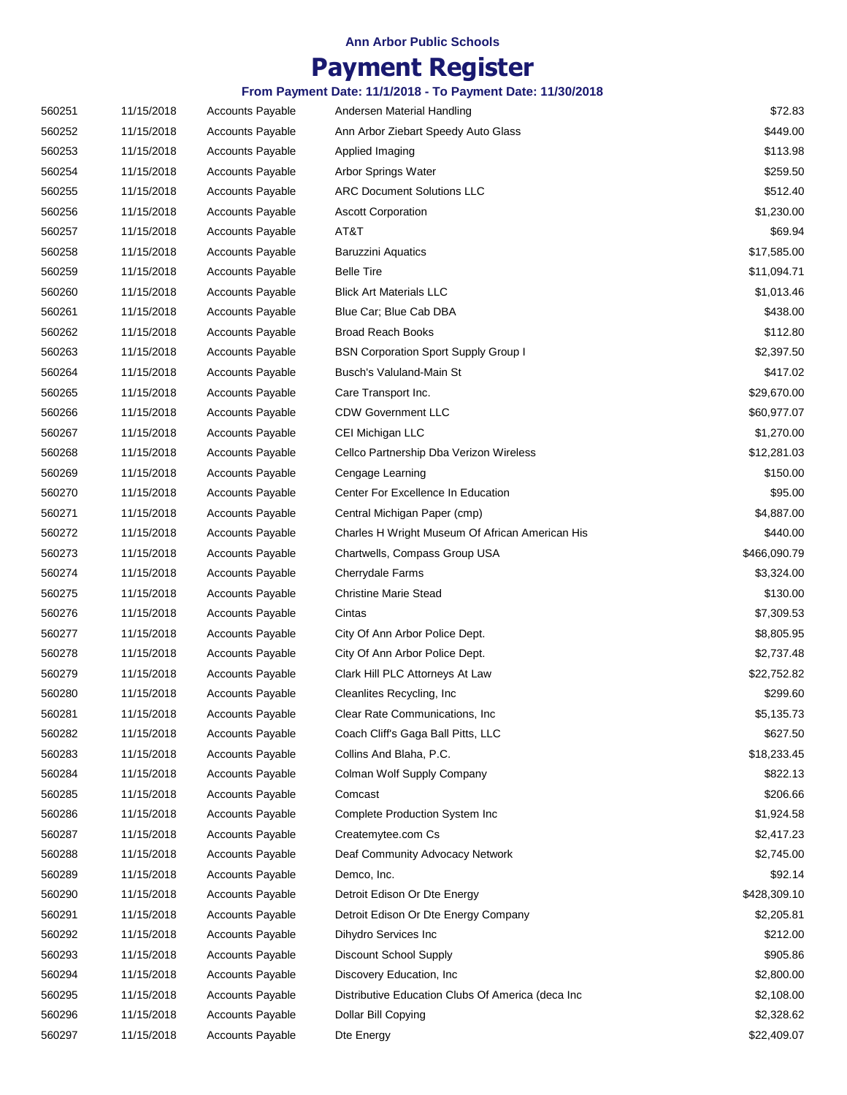## **Payment Register**

| 560251 | 11/15/2018 | <b>Accounts Payable</b> | Andersen Material Handling                        | \$72.83      |
|--------|------------|-------------------------|---------------------------------------------------|--------------|
| 560252 | 11/15/2018 | <b>Accounts Payable</b> | Ann Arbor Ziebart Speedy Auto Glass               | \$449.00     |
| 560253 | 11/15/2018 | <b>Accounts Payable</b> | Applied Imaging                                   | \$113.98     |
| 560254 | 11/15/2018 | <b>Accounts Payable</b> | Arbor Springs Water                               | \$259.50     |
| 560255 | 11/15/2018 | <b>Accounts Payable</b> | <b>ARC Document Solutions LLC</b>                 | \$512.40     |
| 560256 | 11/15/2018 | <b>Accounts Payable</b> | <b>Ascott Corporation</b>                         | \$1,230.00   |
| 560257 | 11/15/2018 | <b>Accounts Payable</b> | AT&T                                              | \$69.94      |
| 560258 | 11/15/2018 | <b>Accounts Payable</b> | <b>Baruzzini Aquatics</b>                         | \$17,585.00  |
| 560259 | 11/15/2018 | <b>Accounts Payable</b> | <b>Belle Tire</b>                                 | \$11,094.71  |
| 560260 | 11/15/2018 | <b>Accounts Payable</b> | <b>Blick Art Materials LLC</b>                    | \$1,013.46   |
| 560261 | 11/15/2018 | <b>Accounts Payable</b> | Blue Car; Blue Cab DBA                            | \$438.00     |
| 560262 | 11/15/2018 | <b>Accounts Payable</b> | <b>Broad Reach Books</b>                          | \$112.80     |
| 560263 | 11/15/2018 | <b>Accounts Payable</b> | <b>BSN Corporation Sport Supply Group I</b>       | \$2,397.50   |
| 560264 | 11/15/2018 | <b>Accounts Payable</b> | Busch's Valuland-Main St                          | \$417.02     |
| 560265 | 11/15/2018 | <b>Accounts Payable</b> | Care Transport Inc.                               | \$29,670.00  |
| 560266 | 11/15/2018 | <b>Accounts Payable</b> | <b>CDW Government LLC</b>                         | \$60,977.07  |
| 560267 | 11/15/2018 | <b>Accounts Payable</b> | CEI Michigan LLC                                  | \$1,270.00   |
| 560268 | 11/15/2018 | <b>Accounts Payable</b> | Cellco Partnership Dba Verizon Wireless           | \$12,281.03  |
| 560269 | 11/15/2018 | <b>Accounts Payable</b> | Cengage Learning                                  | \$150.00     |
| 560270 | 11/15/2018 | <b>Accounts Payable</b> | Center For Excellence In Education                | \$95.00      |
| 560271 | 11/15/2018 | <b>Accounts Payable</b> | Central Michigan Paper (cmp)                      | \$4,887.00   |
| 560272 | 11/15/2018 | <b>Accounts Payable</b> | Charles H Wright Museum Of African American His   | \$440.00     |
| 560273 | 11/15/2018 | <b>Accounts Payable</b> | Chartwells, Compass Group USA                     | \$466,090.79 |
| 560274 | 11/15/2018 | <b>Accounts Payable</b> | Cherrydale Farms                                  | \$3,324.00   |
| 560275 | 11/15/2018 | <b>Accounts Payable</b> | <b>Christine Marie Stead</b>                      | \$130.00     |
| 560276 | 11/15/2018 | <b>Accounts Payable</b> | Cintas                                            | \$7,309.53   |
| 560277 | 11/15/2018 | <b>Accounts Payable</b> | City Of Ann Arbor Police Dept.                    | \$8,805.95   |
| 560278 | 11/15/2018 | <b>Accounts Payable</b> | City Of Ann Arbor Police Dept.                    | \$2,737.48   |
| 560279 | 11/15/2018 | <b>Accounts Payable</b> | Clark Hill PLC Attorneys At Law                   | \$22,752.82  |
| 560280 | 11/15/2018 | <b>Accounts Payable</b> | Cleanlites Recycling, Inc.                        | \$299.60     |
| 560281 | 11/15/2018 | <b>Accounts Payable</b> | Clear Rate Communications, Inc.                   | \$5,135.73   |
| 560282 | 11/15/2018 | <b>Accounts Payable</b> | Coach Cliff's Gaga Ball Pitts, LLC                | \$627.50     |
| 560283 | 11/15/2018 | <b>Accounts Payable</b> | Collins And Blaha, P.C.                           | \$18,233.45  |
| 560284 | 11/15/2018 | <b>Accounts Payable</b> | Colman Wolf Supply Company                        | \$822.13     |
| 560285 | 11/15/2018 | <b>Accounts Payable</b> | Comcast                                           | \$206.66     |
| 560286 | 11/15/2018 | <b>Accounts Payable</b> | <b>Complete Production System Inc</b>             | \$1,924.58   |
| 560287 | 11/15/2018 | <b>Accounts Payable</b> | Createmytee.com Cs                                | \$2,417.23   |
| 560288 | 11/15/2018 | <b>Accounts Payable</b> | Deaf Community Advocacy Network                   | \$2,745.00   |
| 560289 | 11/15/2018 | Accounts Payable        | Demco, Inc.                                       | \$92.14      |
| 560290 | 11/15/2018 | <b>Accounts Payable</b> | Detroit Edison Or Dte Energy                      | \$428,309.10 |
| 560291 | 11/15/2018 | <b>Accounts Payable</b> | Detroit Edison Or Dte Energy Company              | \$2,205.81   |
| 560292 | 11/15/2018 | Accounts Payable        | Dihydro Services Inc                              | \$212.00     |
| 560293 | 11/15/2018 | <b>Accounts Payable</b> | Discount School Supply                            | \$905.86     |
| 560294 | 11/15/2018 | <b>Accounts Payable</b> | Discovery Education, Inc                          | \$2,800.00   |
| 560295 | 11/15/2018 | <b>Accounts Payable</b> | Distributive Education Clubs Of America (deca Inc | \$2,108.00   |
| 560296 | 11/15/2018 | <b>Accounts Payable</b> | Dollar Bill Copying                               | \$2,328.62   |
| 560297 | 11/15/2018 | <b>Accounts Payable</b> | Dte Energy                                        | \$22,409.07  |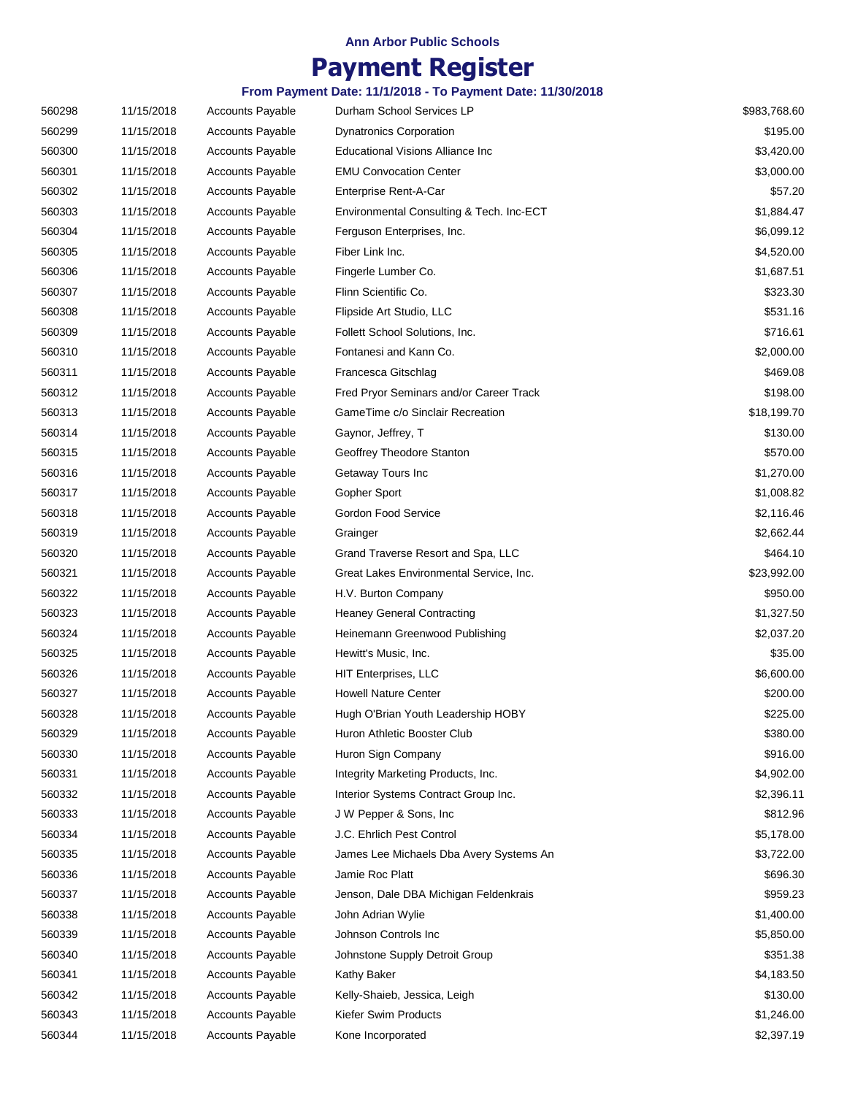## **Payment Register**

| 560298 | 11/15/2018 | <b>Accounts Payable</b> | Durham School Services LP                | \$983,768.60 |
|--------|------------|-------------------------|------------------------------------------|--------------|
| 560299 | 11/15/2018 | <b>Accounts Payable</b> | <b>Dynatronics Corporation</b>           | \$195.00     |
| 560300 | 11/15/2018 | <b>Accounts Payable</b> | Educational Visions Alliance Inc         | \$3,420.00   |
| 560301 | 11/15/2018 | <b>Accounts Payable</b> | <b>EMU Convocation Center</b>            | \$3,000.00   |
| 560302 | 11/15/2018 | <b>Accounts Payable</b> | Enterprise Rent-A-Car                    | \$57.20      |
| 560303 | 11/15/2018 | <b>Accounts Payable</b> | Environmental Consulting & Tech. Inc-ECT | \$1,884.47   |
| 560304 | 11/15/2018 | <b>Accounts Payable</b> | Ferguson Enterprises, Inc.               | \$6,099.12   |
| 560305 | 11/15/2018 | <b>Accounts Payable</b> | Fiber Link Inc.                          | \$4,520.00   |
| 560306 | 11/15/2018 | Accounts Payable        | Fingerle Lumber Co.                      | \$1,687.51   |
| 560307 | 11/15/2018 | <b>Accounts Payable</b> | Flinn Scientific Co.                     | \$323.30     |
| 560308 | 11/15/2018 | <b>Accounts Payable</b> | Flipside Art Studio, LLC                 | \$531.16     |
| 560309 | 11/15/2018 | <b>Accounts Payable</b> | Follett School Solutions, Inc.           | \$716.61     |
| 560310 | 11/15/2018 | <b>Accounts Payable</b> | Fontanesi and Kann Co.                   | \$2,000.00   |
| 560311 | 11/15/2018 | <b>Accounts Payable</b> | Francesca Gitschlag                      | \$469.08     |
| 560312 | 11/15/2018 | Accounts Payable        | Fred Pryor Seminars and/or Career Track  | \$198.00     |
| 560313 | 11/15/2018 | <b>Accounts Payable</b> | GameTime c/o Sinclair Recreation         | \$18,199.70  |
| 560314 | 11/15/2018 | <b>Accounts Payable</b> | Gaynor, Jeffrey, T                       | \$130.00     |
| 560315 | 11/15/2018 | <b>Accounts Payable</b> | Geoffrey Theodore Stanton                | \$570.00     |
| 560316 | 11/15/2018 | <b>Accounts Payable</b> | Getaway Tours Inc                        | \$1,270.00   |
| 560317 | 11/15/2018 | <b>Accounts Payable</b> | Gopher Sport                             | \$1,008.82   |
| 560318 | 11/15/2018 | <b>Accounts Payable</b> | Gordon Food Service                      | \$2,116.46   |
| 560319 | 11/15/2018 | <b>Accounts Payable</b> | Grainger                                 | \$2,662.44   |
| 560320 | 11/15/2018 | <b>Accounts Payable</b> | Grand Traverse Resort and Spa, LLC       | \$464.10     |
| 560321 | 11/15/2018 | <b>Accounts Payable</b> | Great Lakes Environmental Service, Inc.  | \$23,992.00  |
| 560322 | 11/15/2018 | <b>Accounts Payable</b> | H.V. Burton Company                      | \$950.00     |
| 560323 | 11/15/2018 | <b>Accounts Payable</b> | <b>Heaney General Contracting</b>        | \$1,327.50   |
| 560324 | 11/15/2018 | <b>Accounts Payable</b> | Heinemann Greenwood Publishing           | \$2,037.20   |
| 560325 | 11/15/2018 | <b>Accounts Payable</b> | Hewitt's Music, Inc.                     | \$35.00      |
| 560326 | 11/15/2018 | <b>Accounts Payable</b> | <b>HIT Enterprises, LLC</b>              | \$6,600.00   |
| 560327 | 11/15/2018 | <b>Accounts Payable</b> | <b>Howell Nature Center</b>              | \$200.00     |
| 560328 | 11/15/2018 | <b>Accounts Payable</b> | Hugh O'Brian Youth Leadership HOBY       | \$225.00     |
| 560329 | 11/15/2018 | <b>Accounts Payable</b> | Huron Athletic Booster Club              | \$380.00     |
| 560330 | 11/15/2018 | <b>Accounts Payable</b> | Huron Sign Company                       | \$916.00     |
| 560331 | 11/15/2018 | <b>Accounts Payable</b> | Integrity Marketing Products, Inc.       | \$4,902.00   |
| 560332 | 11/15/2018 | <b>Accounts Payable</b> | Interior Systems Contract Group Inc.     | \$2,396.11   |
| 560333 | 11/15/2018 | <b>Accounts Payable</b> | J W Pepper & Sons, Inc.                  | \$812.96     |
| 560334 | 11/15/2018 | Accounts Payable        | J.C. Ehrlich Pest Control                | \$5,178.00   |
| 560335 | 11/15/2018 | Accounts Payable        | James Lee Michaels Dba Avery Systems An  | \$3,722.00   |
| 560336 | 11/15/2018 | <b>Accounts Payable</b> | Jamie Roc Platt                          | \$696.30     |
| 560337 | 11/15/2018 | Accounts Payable        | Jenson, Dale DBA Michigan Feldenkrais    | \$959.23     |
| 560338 | 11/15/2018 | <b>Accounts Payable</b> | John Adrian Wylie                        | \$1,400.00   |
| 560339 | 11/15/2018 | <b>Accounts Payable</b> | Johnson Controls Inc                     | \$5,850.00   |
| 560340 | 11/15/2018 | Accounts Payable        | Johnstone Supply Detroit Group           | \$351.38     |
| 560341 | 11/15/2018 | Accounts Payable        | Kathy Baker                              | \$4,183.50   |
| 560342 | 11/15/2018 | Accounts Payable        | Kelly-Shaieb, Jessica, Leigh             | \$130.00     |
| 560343 | 11/15/2018 | Accounts Payable        | Kiefer Swim Products                     | \$1,246.00   |
| 560344 | 11/15/2018 | Accounts Payable        | Kone Incorporated                        | \$2,397.19   |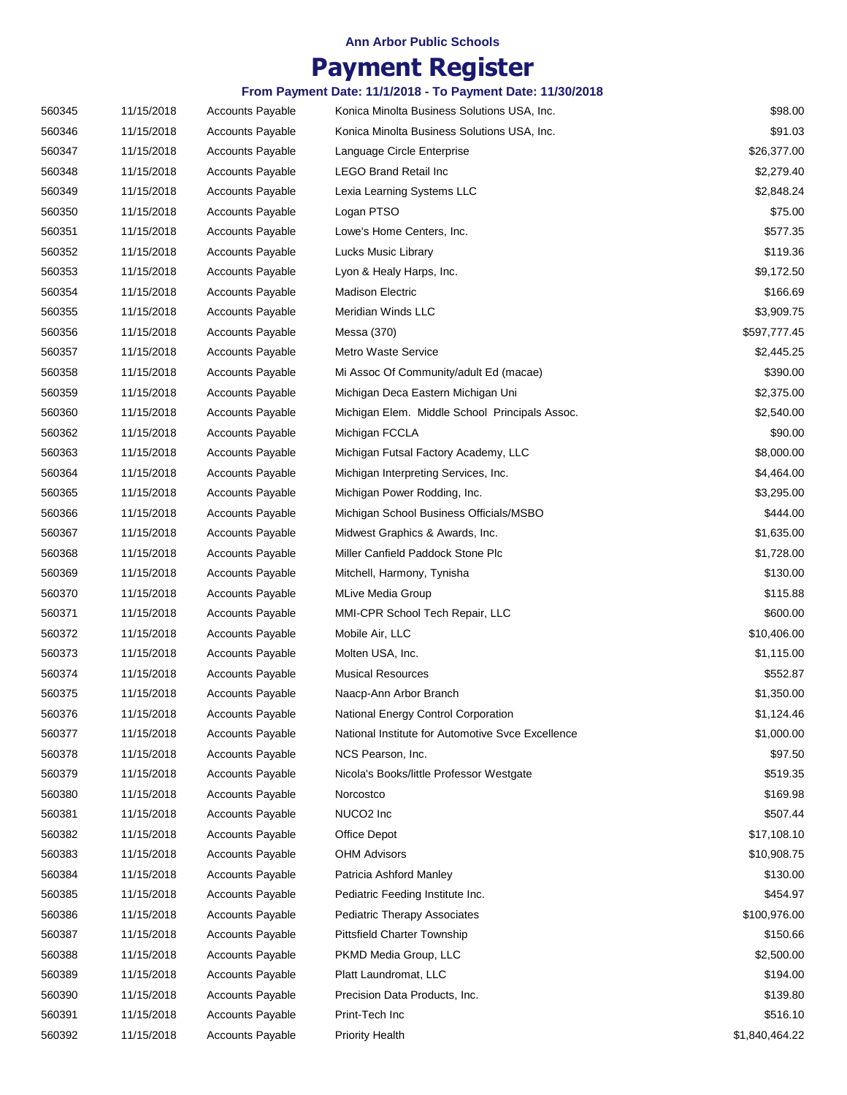## **Payment Register**

| 560345 | 11/15/2018 | <b>Accounts Payable</b> | Konica Minolta Business Solutions USA, Inc.       | \$98.00        |
|--------|------------|-------------------------|---------------------------------------------------|----------------|
| 560346 | 11/15/2018 | <b>Accounts Payable</b> | Konica Minolta Business Solutions USA, Inc.       | \$91.03        |
| 560347 | 11/15/2018 | <b>Accounts Payable</b> | Language Circle Enterprise                        | \$26,377.00    |
| 560348 | 11/15/2018 | <b>Accounts Payable</b> | <b>LEGO Brand Retail Inc.</b>                     | \$2,279.40     |
| 560349 | 11/15/2018 | <b>Accounts Payable</b> | Lexia Learning Systems LLC                        | \$2,848.24     |
| 560350 | 11/15/2018 | <b>Accounts Payable</b> | Logan PTSO                                        | \$75.00        |
| 560351 | 11/15/2018 | <b>Accounts Payable</b> | Lowe's Home Centers, Inc.                         | \$577.35       |
| 560352 | 11/15/2018 | <b>Accounts Payable</b> | Lucks Music Library                               | \$119.36       |
| 560353 | 11/15/2018 | <b>Accounts Payable</b> | Lyon & Healy Harps, Inc.                          | \$9,172.50     |
| 560354 | 11/15/2018 | <b>Accounts Payable</b> | <b>Madison Electric</b>                           | \$166.69       |
| 560355 | 11/15/2018 | <b>Accounts Payable</b> | Meridian Winds LLC                                | \$3,909.75     |
| 560356 | 11/15/2018 | <b>Accounts Payable</b> | Messa (370)                                       | \$597,777.45   |
| 560357 | 11/15/2018 | <b>Accounts Payable</b> | <b>Metro Waste Service</b>                        | \$2,445.25     |
| 560358 | 11/15/2018 | <b>Accounts Payable</b> | Mi Assoc Of Community/adult Ed (macae)            | \$390.00       |
| 560359 | 11/15/2018 | <b>Accounts Payable</b> | Michigan Deca Eastern Michigan Uni                | \$2,375.00     |
| 560360 | 11/15/2018 | <b>Accounts Payable</b> | Michigan Elem. Middle School Principals Assoc.    | \$2,540.00     |
| 560362 | 11/15/2018 | <b>Accounts Payable</b> | Michigan FCCLA                                    | \$90.00        |
| 560363 | 11/15/2018 | <b>Accounts Payable</b> | Michigan Futsal Factory Academy, LLC              | \$8,000.00     |
| 560364 | 11/15/2018 | <b>Accounts Payable</b> | Michigan Interpreting Services, Inc.              | \$4,464.00     |
| 560365 | 11/15/2018 | <b>Accounts Payable</b> | Michigan Power Rodding, Inc.                      | \$3,295.00     |
| 560366 | 11/15/2018 | <b>Accounts Payable</b> | Michigan School Business Officials/MSBO           | \$444.00       |
| 560367 | 11/15/2018 | <b>Accounts Payable</b> | Midwest Graphics & Awards, Inc.                   | \$1,635.00     |
| 560368 | 11/15/2018 | <b>Accounts Payable</b> | Miller Canfield Paddock Stone Plc                 | \$1,728.00     |
| 560369 | 11/15/2018 | <b>Accounts Payable</b> | Mitchell, Harmony, Tynisha                        | \$130.00       |
| 560370 | 11/15/2018 | <b>Accounts Payable</b> | MLive Media Group                                 | \$115.88       |
| 560371 | 11/15/2018 | <b>Accounts Payable</b> | MMI-CPR School Tech Repair, LLC                   | \$600.00       |
| 560372 | 11/15/2018 | <b>Accounts Payable</b> | Mobile Air, LLC                                   | \$10,406.00    |
| 560373 | 11/15/2018 | <b>Accounts Payable</b> | Molten USA, Inc.                                  | \$1,115.00     |
| 560374 | 11/15/2018 | <b>Accounts Payable</b> | <b>Musical Resources</b>                          | \$552.87       |
| 560375 | 11/15/2018 | <b>Accounts Payable</b> | Naacp-Ann Arbor Branch                            | \$1,350.00     |
| 560376 | 11/15/2018 | <b>Accounts Payable</b> | National Energy Control Corporation               | \$1,124.46     |
| 560377 | 11/15/2018 | <b>Accounts Payable</b> | National Institute for Automotive Syce Excellence | \$1,000.00     |
| 560378 | 11/15/2018 | <b>Accounts Payable</b> | NCS Pearson, Inc.                                 | \$97.50        |
| 560379 | 11/15/2018 | <b>Accounts Payable</b> | Nicola's Books/little Professor Westgate          | \$519.35       |
| 560380 | 11/15/2018 | Accounts Payable        | Norcostco                                         | \$169.98       |
| 560381 | 11/15/2018 | <b>Accounts Payable</b> | NUCO <sub>2</sub> Inc                             | \$507.44       |
| 560382 | 11/15/2018 | <b>Accounts Payable</b> | Office Depot                                      | \$17,108.10    |
| 560383 | 11/15/2018 | Accounts Payable        | <b>OHM Advisors</b>                               | \$10,908.75    |
| 560384 | 11/15/2018 | <b>Accounts Payable</b> | Patricia Ashford Manley                           | \$130.00       |
| 560385 | 11/15/2018 | <b>Accounts Payable</b> | Pediatric Feeding Institute Inc.                  | \$454.97       |
| 560386 | 11/15/2018 | <b>Accounts Payable</b> | <b>Pediatric Therapy Associates</b>               | \$100,976.00   |
| 560387 | 11/15/2018 | <b>Accounts Payable</b> | Pittsfield Charter Township                       | \$150.66       |
| 560388 | 11/15/2018 | <b>Accounts Payable</b> | PKMD Media Group, LLC                             | \$2,500.00     |
| 560389 | 11/15/2018 | Accounts Payable        | Platt Laundromat, LLC                             | \$194.00       |
| 560390 | 11/15/2018 | <b>Accounts Payable</b> | Precision Data Products, Inc.                     | \$139.80       |
| 560391 | 11/15/2018 | Accounts Payable        | Print-Tech Inc                                    | \$516.10       |
| 560392 | 11/15/2018 | Accounts Payable        | <b>Priority Health</b>                            | \$1,840,464.22 |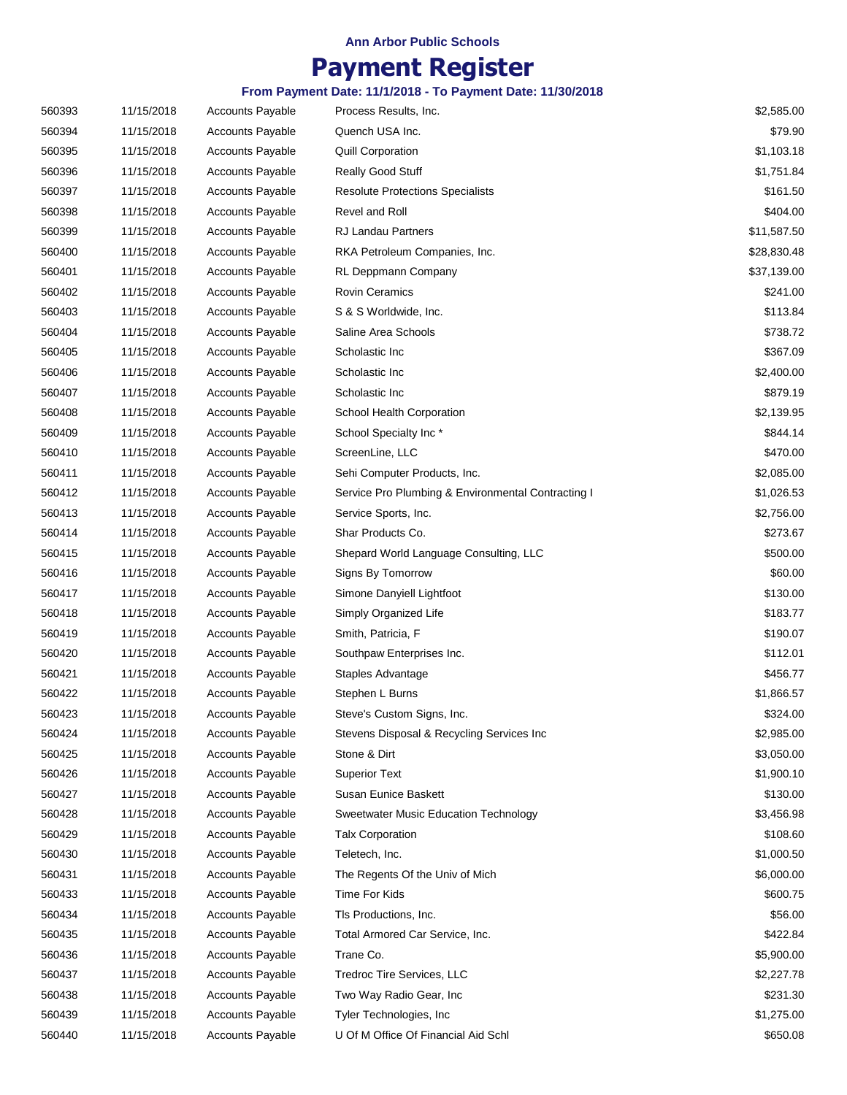## **Payment Register**

| 560393 | 11/15/2018 | <b>Accounts Payable</b> | Process Results, Inc.                              | \$2,585.00  |
|--------|------------|-------------------------|----------------------------------------------------|-------------|
| 560394 | 11/15/2018 | <b>Accounts Payable</b> | Quench USA Inc.                                    | \$79.90     |
| 560395 | 11/15/2018 | <b>Accounts Payable</b> | <b>Quill Corporation</b>                           | \$1,103.18  |
| 560396 | 11/15/2018 | <b>Accounts Payable</b> | <b>Really Good Stuff</b>                           | \$1,751.84  |
| 560397 | 11/15/2018 | <b>Accounts Payable</b> | <b>Resolute Protections Specialists</b>            | \$161.50    |
| 560398 | 11/15/2018 | <b>Accounts Payable</b> | Revel and Roll                                     | \$404.00    |
| 560399 | 11/15/2018 | <b>Accounts Payable</b> | <b>RJ Landau Partners</b>                          | \$11,587.50 |
| 560400 | 11/15/2018 | <b>Accounts Payable</b> | RKA Petroleum Companies, Inc.                      | \$28,830.48 |
| 560401 | 11/15/2018 | <b>Accounts Payable</b> | RL Deppmann Company                                | \$37,139.00 |
| 560402 | 11/15/2018 | <b>Accounts Payable</b> | <b>Rovin Ceramics</b>                              | \$241.00    |
| 560403 | 11/15/2018 | <b>Accounts Payable</b> | S & S Worldwide, Inc.                              | \$113.84    |
| 560404 | 11/15/2018 | <b>Accounts Payable</b> | Saline Area Schools                                | \$738.72    |
| 560405 | 11/15/2018 | <b>Accounts Payable</b> | Scholastic Inc                                     | \$367.09    |
| 560406 | 11/15/2018 | <b>Accounts Payable</b> | Scholastic Inc                                     | \$2,400.00  |
| 560407 | 11/15/2018 | <b>Accounts Payable</b> | Scholastic Inc                                     | \$879.19    |
| 560408 | 11/15/2018 | <b>Accounts Payable</b> | School Health Corporation                          | \$2,139.95  |
| 560409 | 11/15/2018 | <b>Accounts Payable</b> | School Specialty Inc*                              | \$844.14    |
| 560410 | 11/15/2018 | <b>Accounts Payable</b> | ScreenLine, LLC                                    | \$470.00    |
| 560411 | 11/15/2018 | <b>Accounts Payable</b> | Sehi Computer Products, Inc.                       | \$2,085.00  |
| 560412 | 11/15/2018 | <b>Accounts Payable</b> | Service Pro Plumbing & Environmental Contracting I | \$1,026.53  |
| 560413 | 11/15/2018 | <b>Accounts Payable</b> | Service Sports, Inc.                               | \$2,756.00  |
| 560414 | 11/15/2018 | <b>Accounts Payable</b> | Shar Products Co.                                  | \$273.67    |
| 560415 | 11/15/2018 | <b>Accounts Payable</b> | Shepard World Language Consulting, LLC             | \$500.00    |
| 560416 | 11/15/2018 | <b>Accounts Payable</b> | Signs By Tomorrow                                  | \$60.00     |
| 560417 | 11/15/2018 | <b>Accounts Payable</b> | Simone Danyiell Lightfoot                          | \$130.00    |
| 560418 | 11/15/2018 | <b>Accounts Payable</b> | Simply Organized Life                              | \$183.77    |
| 560419 | 11/15/2018 | <b>Accounts Payable</b> | Smith, Patricia, F                                 | \$190.07    |
| 560420 | 11/15/2018 | <b>Accounts Payable</b> | Southpaw Enterprises Inc.                          | \$112.01    |
| 560421 | 11/15/2018 | <b>Accounts Payable</b> | Staples Advantage                                  | \$456.77    |
| 560422 | 11/15/2018 | <b>Accounts Payable</b> | Stephen L Burns                                    | \$1,866.57  |
| 560423 | 11/15/2018 | <b>Accounts Payable</b> | Steve's Custom Signs, Inc.                         | \$324.00    |
| 560424 | 11/15/2018 | <b>Accounts Payable</b> | Stevens Disposal & Recycling Services Inc          | \$2,985.00  |
| 560425 | 11/15/2018 | <b>Accounts Payable</b> | Stone & Dirt                                       | \$3,050.00  |
| 560426 | 11/15/2018 | <b>Accounts Payable</b> | <b>Superior Text</b>                               | \$1,900.10  |
| 560427 | 11/15/2018 | <b>Accounts Payable</b> | Susan Eunice Baskett                               | \$130.00    |
| 560428 | 11/15/2018 | <b>Accounts Payable</b> | Sweetwater Music Education Technology              | \$3,456.98  |
| 560429 | 11/15/2018 | <b>Accounts Payable</b> | <b>Talx Corporation</b>                            | \$108.60    |
| 560430 | 11/15/2018 | <b>Accounts Payable</b> | Teletech, Inc.                                     | \$1,000.50  |
| 560431 | 11/15/2018 | <b>Accounts Payable</b> | The Regents Of the Univ of Mich                    | \$6,000.00  |
| 560433 | 11/15/2018 | <b>Accounts Payable</b> | Time For Kids                                      | \$600.75    |
| 560434 | 11/15/2018 | <b>Accounts Payable</b> | TIs Productions, Inc.                              | \$56.00     |
| 560435 | 11/15/2018 | <b>Accounts Payable</b> | Total Armored Car Service, Inc.                    | \$422.84    |
| 560436 | 11/15/2018 | <b>Accounts Payable</b> | Trane Co.                                          | \$5,900.00  |
| 560437 | 11/15/2018 | <b>Accounts Payable</b> | Tredroc Tire Services, LLC                         | \$2,227.78  |
| 560438 | 11/15/2018 | <b>Accounts Payable</b> | Two Way Radio Gear, Inc.                           | \$231.30    |
| 560439 | 11/15/2018 | <b>Accounts Payable</b> | Tyler Technologies, Inc.                           | \$1,275.00  |
| 560440 | 11/15/2018 | <b>Accounts Payable</b> | U Of M Office Of Financial Aid Schl                | \$650.08    |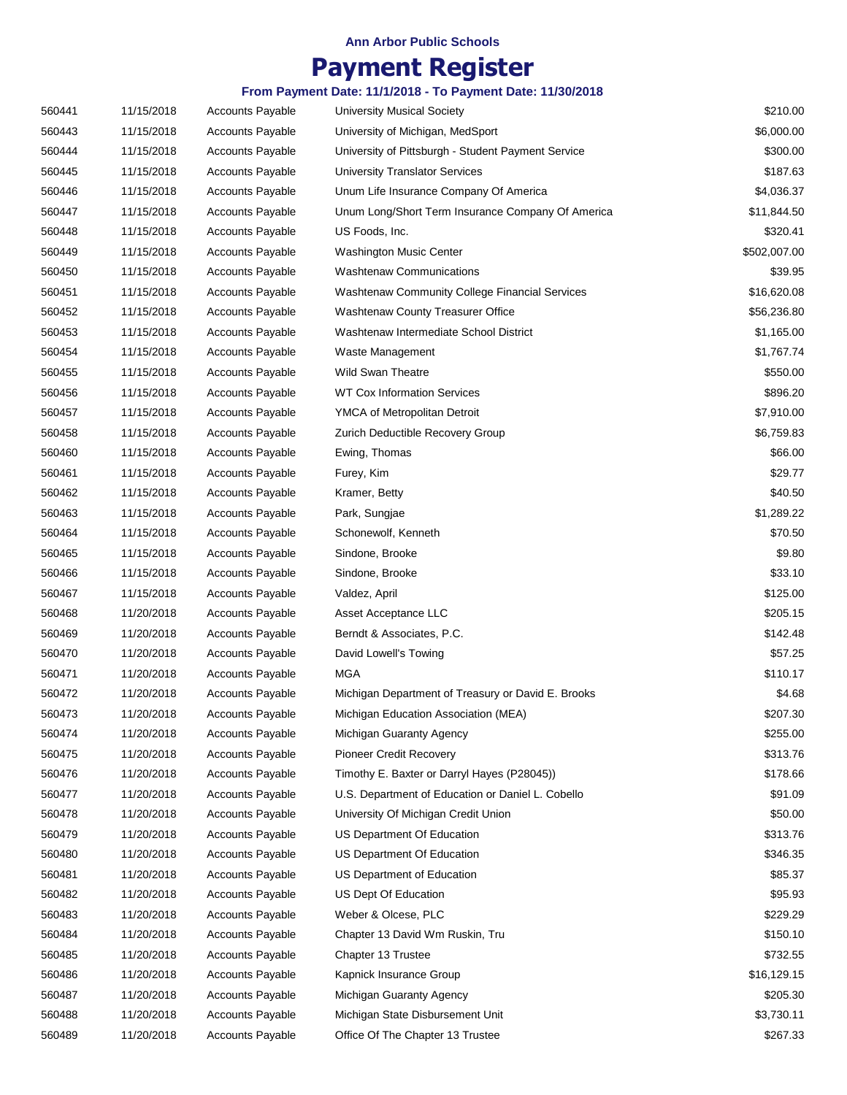## **Payment Register**

| 560441 | 11/15/2018 | <b>Accounts Payable</b> | <b>University Musical Society</b>                     | \$210.00     |
|--------|------------|-------------------------|-------------------------------------------------------|--------------|
| 560443 | 11/15/2018 | Accounts Payable        | University of Michigan, MedSport                      | \$6,000.00   |
| 560444 | 11/15/2018 | <b>Accounts Payable</b> | University of Pittsburgh - Student Payment Service    | \$300.00     |
| 560445 | 11/15/2018 | <b>Accounts Payable</b> | <b>University Translator Services</b>                 | \$187.63     |
| 560446 | 11/15/2018 | <b>Accounts Payable</b> | Unum Life Insurance Company Of America                | \$4,036.37   |
| 560447 | 11/15/2018 | <b>Accounts Payable</b> | Unum Long/Short Term Insurance Company Of America     | \$11,844.50  |
| 560448 | 11/15/2018 | <b>Accounts Payable</b> | US Foods, Inc.                                        | \$320.41     |
| 560449 | 11/15/2018 | <b>Accounts Payable</b> | <b>Washington Music Center</b>                        | \$502,007.00 |
| 560450 | 11/15/2018 | <b>Accounts Payable</b> | <b>Washtenaw Communications</b>                       | \$39.95      |
| 560451 | 11/15/2018 | <b>Accounts Payable</b> | <b>Washtenaw Community College Financial Services</b> | \$16,620.08  |
| 560452 | 11/15/2018 | <b>Accounts Payable</b> | Washtenaw County Treasurer Office                     | \$56,236.80  |
| 560453 | 11/15/2018 | <b>Accounts Payable</b> | Washtenaw Intermediate School District                | \$1,165.00   |
| 560454 | 11/15/2018 | <b>Accounts Payable</b> | Waste Management                                      | \$1,767.74   |
| 560455 | 11/15/2018 | <b>Accounts Payable</b> | Wild Swan Theatre                                     | \$550.00     |
| 560456 | 11/15/2018 | <b>Accounts Payable</b> | <b>WT Cox Information Services</b>                    | \$896.20     |
| 560457 | 11/15/2018 | <b>Accounts Payable</b> | YMCA of Metropolitan Detroit                          | \$7,910.00   |
| 560458 | 11/15/2018 | <b>Accounts Payable</b> | Zurich Deductible Recovery Group                      | \$6,759.83   |
| 560460 | 11/15/2018 | Accounts Payable        | Ewing, Thomas                                         | \$66.00      |
| 560461 | 11/15/2018 | <b>Accounts Payable</b> | Furey, Kim                                            | \$29.77      |
| 560462 | 11/15/2018 | <b>Accounts Payable</b> | Kramer, Betty                                         | \$40.50      |
| 560463 | 11/15/2018 | <b>Accounts Payable</b> | Park, Sungjae                                         | \$1,289.22   |
| 560464 | 11/15/2018 | <b>Accounts Payable</b> | Schonewolf, Kenneth                                   | \$70.50      |
| 560465 | 11/15/2018 | <b>Accounts Payable</b> | Sindone, Brooke                                       | \$9.80       |
| 560466 | 11/15/2018 | <b>Accounts Payable</b> | Sindone, Brooke                                       | \$33.10      |
| 560467 | 11/15/2018 | <b>Accounts Payable</b> | Valdez, April                                         | \$125.00     |
| 560468 | 11/20/2018 | <b>Accounts Payable</b> | Asset Acceptance LLC                                  | \$205.15     |
| 560469 | 11/20/2018 | <b>Accounts Payable</b> | Berndt & Associates, P.C.                             | \$142.48     |
| 560470 | 11/20/2018 | <b>Accounts Payable</b> | David Lowell's Towing                                 | \$57.25      |
| 560471 | 11/20/2018 | <b>Accounts Payable</b> | <b>MGA</b>                                            | \$110.17     |
| 560472 | 11/20/2018 | <b>Accounts Payable</b> | Michigan Department of Treasury or David E. Brooks    | \$4.68       |
| 560473 | 11/20/2018 | <b>Accounts Payable</b> | Michigan Education Association (MEA)                  | \$207.30     |
| 560474 | 11/20/2018 | <b>Accounts Payable</b> | Michigan Guaranty Agency                              | \$255.00     |
| 560475 | 11/20/2018 | <b>Accounts Payable</b> | Pioneer Credit Recovery                               | \$313.76     |
| 560476 | 11/20/2018 | <b>Accounts Payable</b> | Timothy E. Baxter or Darryl Hayes (P28045))           | \$178.66     |
| 560477 | 11/20/2018 | <b>Accounts Payable</b> | U.S. Department of Education or Daniel L. Cobello     | \$91.09      |
| 560478 | 11/20/2018 | <b>Accounts Payable</b> | University Of Michigan Credit Union                   | \$50.00      |
| 560479 | 11/20/2018 | <b>Accounts Payable</b> | US Department Of Education                            | \$313.76     |
| 560480 | 11/20/2018 | Accounts Payable        | US Department Of Education                            | \$346.35     |
| 560481 | 11/20/2018 | <b>Accounts Payable</b> | US Department of Education                            | \$85.37      |
| 560482 | 11/20/2018 | Accounts Payable        | US Dept Of Education                                  | \$95.93      |
| 560483 | 11/20/2018 | <b>Accounts Payable</b> | Weber & Olcese, PLC                                   | \$229.29     |
| 560484 | 11/20/2018 | <b>Accounts Payable</b> | Chapter 13 David Wm Ruskin, Tru                       | \$150.10     |
| 560485 | 11/20/2018 | Accounts Payable        | Chapter 13 Trustee                                    | \$732.55     |
| 560486 | 11/20/2018 | <b>Accounts Payable</b> | Kapnick Insurance Group                               | \$16,129.15  |
| 560487 | 11/20/2018 | <b>Accounts Payable</b> | Michigan Guaranty Agency                              | \$205.30     |
| 560488 | 11/20/2018 | <b>Accounts Payable</b> | Michigan State Disbursement Unit                      | \$3,730.11   |
| 560489 | 11/20/2018 | <b>Accounts Payable</b> | Office Of The Chapter 13 Trustee                      | \$267.33     |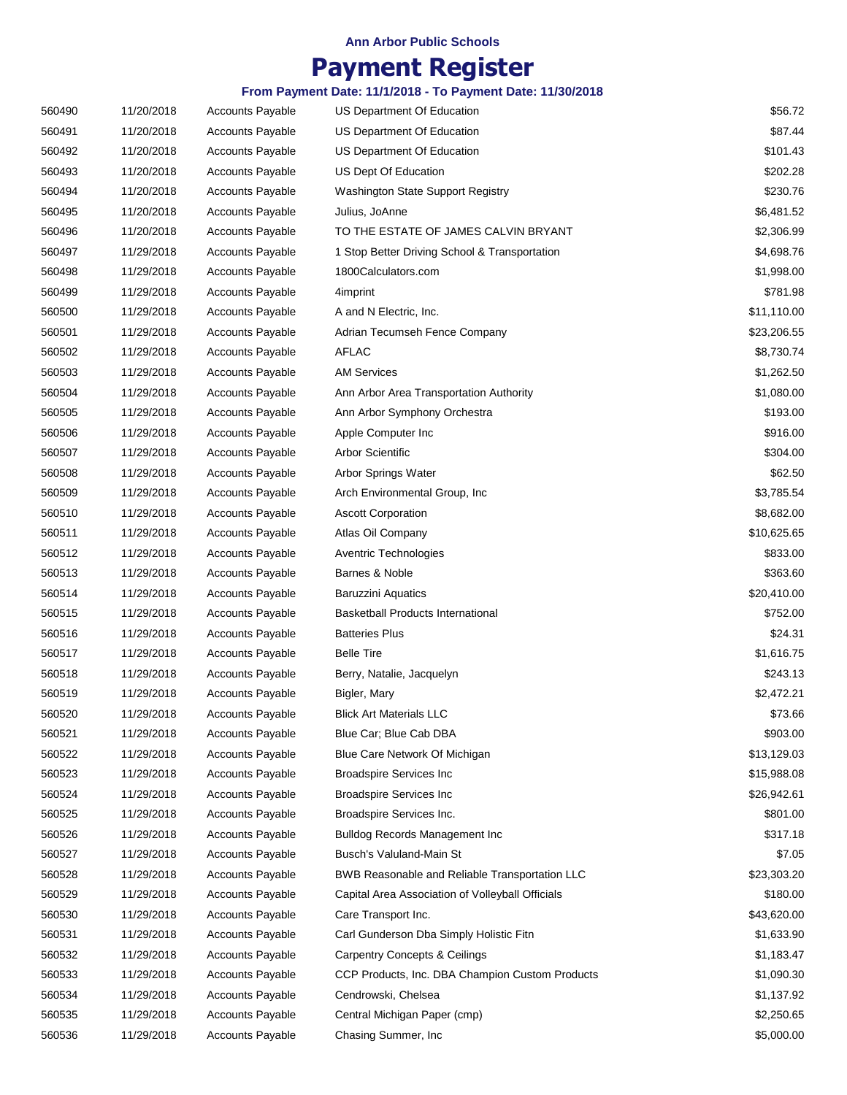## **Payment Register**

| 560490 | 11/20/2018 | <b>Accounts Payable</b> | US Department Of Education                       | \$56.72     |
|--------|------------|-------------------------|--------------------------------------------------|-------------|
| 560491 | 11/20/2018 | <b>Accounts Payable</b> | US Department Of Education                       | \$87.44     |
| 560492 | 11/20/2018 | <b>Accounts Payable</b> | US Department Of Education                       | \$101.43    |
| 560493 | 11/20/2018 | <b>Accounts Payable</b> | US Dept Of Education                             | \$202.28    |
| 560494 | 11/20/2018 | <b>Accounts Payable</b> | Washington State Support Registry                | \$230.76    |
| 560495 | 11/20/2018 | Accounts Payable        | Julius, JoAnne                                   | \$6,481.52  |
| 560496 | 11/20/2018 | <b>Accounts Payable</b> | TO THE ESTATE OF JAMES CALVIN BRYANT             | \$2,306.99  |
| 560497 | 11/29/2018 | <b>Accounts Payable</b> | 1 Stop Better Driving School & Transportation    | \$4,698.76  |
| 560498 | 11/29/2018 | <b>Accounts Payable</b> | 1800Calculators.com                              | \$1,998.00  |
| 560499 | 11/29/2018 | <b>Accounts Payable</b> | 4imprint                                         | \$781.98    |
| 560500 | 11/29/2018 | <b>Accounts Payable</b> | A and N Electric, Inc.                           | \$11,110.00 |
| 560501 | 11/29/2018 | <b>Accounts Payable</b> | Adrian Tecumseh Fence Company                    | \$23,206.55 |
| 560502 | 11/29/2018 | <b>Accounts Payable</b> | AFLAC                                            | \$8,730.74  |
| 560503 | 11/29/2018 | <b>Accounts Payable</b> | <b>AM Services</b>                               | \$1,262.50  |
| 560504 | 11/29/2018 | <b>Accounts Payable</b> | Ann Arbor Area Transportation Authority          | \$1,080.00  |
| 560505 | 11/29/2018 | <b>Accounts Payable</b> | Ann Arbor Symphony Orchestra                     | \$193.00    |
| 560506 | 11/29/2018 | <b>Accounts Payable</b> | Apple Computer Inc                               | \$916.00    |
| 560507 | 11/29/2018 | <b>Accounts Payable</b> | <b>Arbor Scientific</b>                          | \$304.00    |
| 560508 | 11/29/2018 | <b>Accounts Payable</b> | Arbor Springs Water                              | \$62.50     |
| 560509 | 11/29/2018 | <b>Accounts Payable</b> | Arch Environmental Group, Inc.                   | \$3,785.54  |
| 560510 | 11/29/2018 | <b>Accounts Payable</b> | <b>Ascott Corporation</b>                        | \$8,682.00  |
| 560511 | 11/29/2018 | Accounts Payable        | Atlas Oil Company                                | \$10,625.65 |
| 560512 | 11/29/2018 | <b>Accounts Payable</b> | Aventric Technologies                            | \$833.00    |
| 560513 | 11/29/2018 | <b>Accounts Payable</b> | Barnes & Noble                                   | \$363.60    |
| 560514 | 11/29/2018 | Accounts Payable        | <b>Baruzzini Aquatics</b>                        | \$20,410.00 |
| 560515 | 11/29/2018 | <b>Accounts Payable</b> | <b>Basketball Products International</b>         | \$752.00    |
| 560516 | 11/29/2018 | <b>Accounts Payable</b> | <b>Batteries Plus</b>                            | \$24.31     |
| 560517 | 11/29/2018 | <b>Accounts Payable</b> | <b>Belle Tire</b>                                | \$1,616.75  |
| 560518 | 11/29/2018 | <b>Accounts Payable</b> | Berry, Natalie, Jacquelyn                        | \$243.13    |
| 560519 | 11/29/2018 | <b>Accounts Payable</b> | Bigler, Mary                                     | \$2,472.21  |
| 560520 | 11/29/2018 | <b>Accounts Payable</b> | <b>Blick Art Materials LLC</b>                   | \$73.66     |
| 560521 | 11/29/2018 | <b>Accounts Payable</b> | Blue Car; Blue Cab DBA                           | \$903.00    |
| 560522 | 11/29/2018 | <b>Accounts Payable</b> | Blue Care Network Of Michigan                    | \$13,129.03 |
| 560523 | 11/29/2018 | <b>Accounts Payable</b> | <b>Broadspire Services Inc</b>                   | \$15,988.08 |
| 560524 | 11/29/2018 | <b>Accounts Payable</b> | Broadspire Services Inc.                         | \$26,942.61 |
| 560525 | 11/29/2018 | <b>Accounts Payable</b> | Broadspire Services Inc.                         | \$801.00    |
| 560526 | 11/29/2018 | <b>Accounts Payable</b> | <b>Bulldog Records Management Inc.</b>           | \$317.18    |
| 560527 | 11/29/2018 | <b>Accounts Payable</b> | Busch's Valuland-Main St                         | \$7.05      |
| 560528 | 11/29/2018 | <b>Accounts Payable</b> | BWB Reasonable and Reliable Transportation LLC   | \$23,303.20 |
| 560529 | 11/29/2018 | <b>Accounts Payable</b> | Capital Area Association of Volleyball Officials | \$180.00    |
| 560530 | 11/29/2018 | <b>Accounts Payable</b> | Care Transport Inc.                              | \$43,620.00 |
| 560531 | 11/29/2018 | Accounts Payable        | Carl Gunderson Dba Simply Holistic Fitn          | \$1,633.90  |
| 560532 | 11/29/2018 | <b>Accounts Payable</b> | <b>Carpentry Concepts &amp; Ceilings</b>         | \$1,183.47  |
| 560533 | 11/29/2018 | <b>Accounts Payable</b> | CCP Products, Inc. DBA Champion Custom Products  | \$1,090.30  |
| 560534 | 11/29/2018 | <b>Accounts Payable</b> | Cendrowski, Chelsea                              | \$1,137.92  |
| 560535 | 11/29/2018 | <b>Accounts Payable</b> | Central Michigan Paper (cmp)                     | \$2,250.65  |
| 560536 | 11/29/2018 | <b>Accounts Payable</b> | Chasing Summer, Inc                              | \$5,000.00  |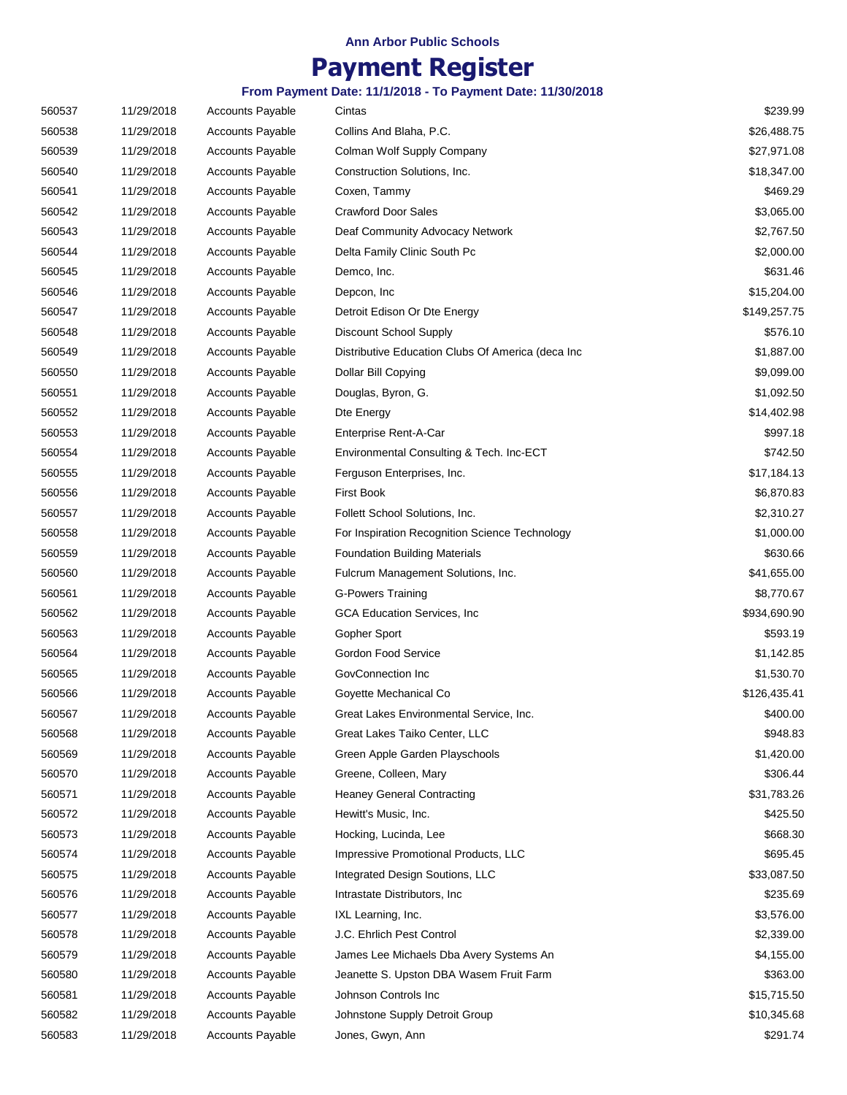## **Payment Register**

| 560537 | 11/29/2018 | <b>Accounts Payable</b> | Cintas                                            | \$239.99     |
|--------|------------|-------------------------|---------------------------------------------------|--------------|
| 560538 | 11/29/2018 | <b>Accounts Payable</b> | Collins And Blaha, P.C.                           | \$26,488.75  |
| 560539 | 11/29/2018 | <b>Accounts Payable</b> | Colman Wolf Supply Company                        | \$27,971.08  |
| 560540 | 11/29/2018 | <b>Accounts Payable</b> | Construction Solutions, Inc.                      | \$18,347.00  |
| 560541 | 11/29/2018 | <b>Accounts Payable</b> | Coxen, Tammy                                      | \$469.29     |
| 560542 | 11/29/2018 | <b>Accounts Payable</b> | Crawford Door Sales                               | \$3,065.00   |
| 560543 | 11/29/2018 | <b>Accounts Payable</b> | Deaf Community Advocacy Network                   | \$2,767.50   |
| 560544 | 11/29/2018 | <b>Accounts Payable</b> | Delta Family Clinic South Pc                      | \$2,000.00   |
| 560545 | 11/29/2018 | <b>Accounts Payable</b> | Demco, Inc.                                       | \$631.46     |
| 560546 | 11/29/2018 | <b>Accounts Payable</b> | Depcon, Inc.                                      | \$15,204.00  |
| 560547 | 11/29/2018 | <b>Accounts Payable</b> | Detroit Edison Or Dte Energy                      | \$149,257.75 |
| 560548 | 11/29/2018 | <b>Accounts Payable</b> | Discount School Supply                            | \$576.10     |
| 560549 | 11/29/2018 | <b>Accounts Payable</b> | Distributive Education Clubs Of America (deca Inc | \$1,887.00   |
| 560550 | 11/29/2018 | <b>Accounts Payable</b> | Dollar Bill Copying                               | \$9,099.00   |
| 560551 | 11/29/2018 | <b>Accounts Payable</b> | Douglas, Byron, G.                                | \$1,092.50   |
| 560552 | 11/29/2018 | <b>Accounts Payable</b> | Dte Energy                                        | \$14,402.98  |
| 560553 | 11/29/2018 | <b>Accounts Payable</b> | Enterprise Rent-A-Car                             | \$997.18     |
| 560554 | 11/29/2018 | <b>Accounts Payable</b> | Environmental Consulting & Tech. Inc-ECT          | \$742.50     |
| 560555 | 11/29/2018 | <b>Accounts Payable</b> | Ferguson Enterprises, Inc.                        | \$17,184.13  |
| 560556 | 11/29/2018 | <b>Accounts Payable</b> | <b>First Book</b>                                 | \$6,870.83   |
| 560557 | 11/29/2018 | <b>Accounts Payable</b> | Follett School Solutions, Inc.                    | \$2,310.27   |
| 560558 | 11/29/2018 | <b>Accounts Payable</b> | For Inspiration Recognition Science Technology    | \$1,000.00   |
| 560559 | 11/29/2018 | <b>Accounts Payable</b> | <b>Foundation Building Materials</b>              | \$630.66     |
| 560560 | 11/29/2018 | <b>Accounts Payable</b> | Fulcrum Management Solutions, Inc.                | \$41,655.00  |
| 560561 | 11/29/2018 | <b>Accounts Payable</b> | <b>G-Powers Training</b>                          | \$8,770.67   |
| 560562 | 11/29/2018 | <b>Accounts Payable</b> | GCA Education Services, Inc.                      | \$934,690.90 |
| 560563 | 11/29/2018 | <b>Accounts Payable</b> | Gopher Sport                                      | \$593.19     |
| 560564 | 11/29/2018 | <b>Accounts Payable</b> | Gordon Food Service                               | \$1,142.85   |
| 560565 | 11/29/2018 | <b>Accounts Payable</b> | GovConnection Inc                                 | \$1,530.70   |
| 560566 | 11/29/2018 | <b>Accounts Payable</b> | Goyette Mechanical Co                             | \$126,435.41 |
| 560567 | 11/29/2018 | <b>Accounts Payable</b> | Great Lakes Environmental Service, Inc.           | \$400.00     |
| 560568 | 11/29/2018 | <b>Accounts Payable</b> | Great Lakes Taiko Center, LLC                     | \$948.83     |
| 560569 | 11/29/2018 | <b>Accounts Payable</b> | Green Apple Garden Playschools                    | \$1,420.00   |
| 560570 | 11/29/2018 | <b>Accounts Payable</b> | Greene, Colleen, Mary                             | \$306.44     |
| 560571 | 11/29/2018 | <b>Accounts Payable</b> | <b>Heaney General Contracting</b>                 | \$31,783.26  |
| 560572 | 11/29/2018 | <b>Accounts Payable</b> | Hewitt's Music, Inc.                              | \$425.50     |
| 560573 | 11/29/2018 | <b>Accounts Payable</b> | Hocking, Lucinda, Lee                             | \$668.30     |
| 560574 | 11/29/2018 | <b>Accounts Payable</b> | Impressive Promotional Products, LLC              | \$695.45     |
| 560575 | 11/29/2018 | <b>Accounts Payable</b> | Integrated Design Soutions, LLC                   | \$33,087.50  |
| 560576 | 11/29/2018 | <b>Accounts Payable</b> | Intrastate Distributors, Inc.                     | \$235.69     |
| 560577 | 11/29/2018 | <b>Accounts Payable</b> | IXL Learning, Inc.                                | \$3,576.00   |
| 560578 | 11/29/2018 | <b>Accounts Payable</b> | J.C. Ehrlich Pest Control                         | \$2,339.00   |
| 560579 | 11/29/2018 | <b>Accounts Payable</b> | James Lee Michaels Dba Avery Systems An           | \$4,155.00   |
| 560580 | 11/29/2018 | <b>Accounts Payable</b> | Jeanette S. Upston DBA Wasem Fruit Farm           | \$363.00     |
| 560581 | 11/29/2018 | <b>Accounts Payable</b> | Johnson Controls Inc                              | \$15,715.50  |
| 560582 | 11/29/2018 | <b>Accounts Payable</b> | Johnstone Supply Detroit Group                    | \$10,345.68  |
| 560583 | 11/29/2018 | <b>Accounts Payable</b> | Jones, Gwyn, Ann                                  | \$291.74     |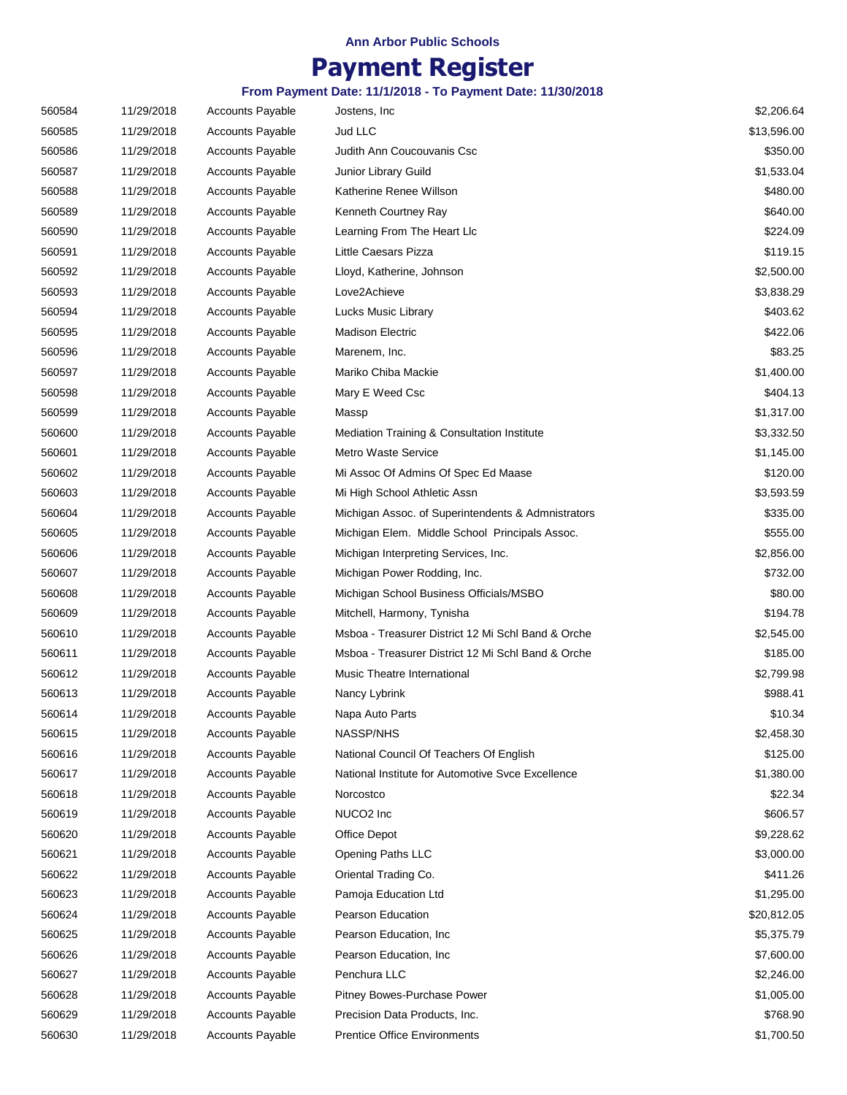## **Payment Register**

| 560584 | 11/29/2018 | <b>Accounts Payable</b> | Jostens, Inc                                       | \$2,206.64  |
|--------|------------|-------------------------|----------------------------------------------------|-------------|
| 560585 | 11/29/2018 | <b>Accounts Payable</b> | Jud LLC                                            | \$13,596.00 |
| 560586 | 11/29/2018 | <b>Accounts Payable</b> | Judith Ann Coucouvanis Csc                         | \$350.00    |
| 560587 | 11/29/2018 | <b>Accounts Payable</b> | Junior Library Guild                               | \$1,533.04  |
| 560588 | 11/29/2018 | <b>Accounts Payable</b> | Katherine Renee Willson                            | \$480.00    |
| 560589 | 11/29/2018 | <b>Accounts Payable</b> | Kenneth Courtney Ray                               | \$640.00    |
| 560590 | 11/29/2018 | <b>Accounts Payable</b> | Learning From The Heart Llc                        | \$224.09    |
| 560591 | 11/29/2018 | <b>Accounts Payable</b> | Little Caesars Pizza                               | \$119.15    |
| 560592 | 11/29/2018 | <b>Accounts Payable</b> | Lloyd, Katherine, Johnson                          | \$2,500.00  |
| 560593 | 11/29/2018 | <b>Accounts Payable</b> | Love2Achieve                                       | \$3,838.29  |
| 560594 | 11/29/2018 | <b>Accounts Payable</b> | Lucks Music Library                                | \$403.62    |
| 560595 | 11/29/2018 | <b>Accounts Payable</b> | Madison Electric                                   | \$422.06    |
| 560596 | 11/29/2018 | <b>Accounts Payable</b> | Marenem, Inc.                                      | \$83.25     |
| 560597 | 11/29/2018 | <b>Accounts Payable</b> | Mariko Chiba Mackie                                | \$1,400.00  |
| 560598 | 11/29/2018 | <b>Accounts Payable</b> | Mary E Weed Csc                                    | \$404.13    |
| 560599 | 11/29/2018 | <b>Accounts Payable</b> | Massp                                              | \$1,317.00  |
| 560600 | 11/29/2018 | <b>Accounts Payable</b> | Mediation Training & Consultation Institute        | \$3,332.50  |
| 560601 | 11/29/2018 | <b>Accounts Payable</b> | <b>Metro Waste Service</b>                         | \$1,145.00  |
| 560602 | 11/29/2018 | <b>Accounts Payable</b> | Mi Assoc Of Admins Of Spec Ed Maase                | \$120.00    |
| 560603 | 11/29/2018 | <b>Accounts Payable</b> | Mi High School Athletic Assn                       | \$3,593.59  |
| 560604 | 11/29/2018 | <b>Accounts Payable</b> | Michigan Assoc. of Superintendents & Admnistrators | \$335.00    |
| 560605 | 11/29/2018 | <b>Accounts Payable</b> | Michigan Elem. Middle School Principals Assoc.     | \$555.00    |
| 560606 | 11/29/2018 | <b>Accounts Payable</b> | Michigan Interpreting Services, Inc.               | \$2,856.00  |
| 560607 | 11/29/2018 | <b>Accounts Payable</b> | Michigan Power Rodding, Inc.                       | \$732.00    |
| 560608 | 11/29/2018 | <b>Accounts Payable</b> | Michigan School Business Officials/MSBO            | \$80.00     |
| 560609 | 11/29/2018 | <b>Accounts Payable</b> | Mitchell, Harmony, Tynisha                         | \$194.78    |
| 560610 | 11/29/2018 | <b>Accounts Payable</b> | Msboa - Treasurer District 12 Mi Schl Band & Orche | \$2,545.00  |
| 560611 | 11/29/2018 | <b>Accounts Payable</b> | Msboa - Treasurer District 12 Mi Schl Band & Orche | \$185.00    |
| 560612 | 11/29/2018 | <b>Accounts Payable</b> | Music Theatre International                        | \$2,799.98  |
| 560613 | 11/29/2018 | <b>Accounts Payable</b> | Nancy Lybrink                                      | \$988.41    |
| 560614 | 11/29/2018 | <b>Accounts Payable</b> | Napa Auto Parts                                    | \$10.34     |
| 560615 | 11/29/2018 | <b>Accounts Payable</b> | NASSP/NHS                                          | \$2,458.30  |
| 560616 | 11/29/2018 | <b>Accounts Payable</b> | National Council Of Teachers Of English            | \$125.00    |
| 560617 | 11/29/2018 | <b>Accounts Payable</b> | National Institute for Automotive Syce Excellence  | \$1,380.00  |
| 560618 | 11/29/2018 | <b>Accounts Payable</b> | Norcostco                                          | \$22.34     |
| 560619 | 11/29/2018 | <b>Accounts Payable</b> | NUCO <sub>2</sub> Inc                              | \$606.57    |
| 560620 | 11/29/2018 | <b>Accounts Payable</b> | Office Depot                                       | \$9,228.62  |
| 560621 | 11/29/2018 | <b>Accounts Payable</b> | Opening Paths LLC                                  | \$3,000.00  |
| 560622 | 11/29/2018 | <b>Accounts Payable</b> | Oriental Trading Co.                               | \$411.26    |
| 560623 | 11/29/2018 | <b>Accounts Payable</b> | Pamoja Education Ltd                               | \$1,295.00  |
| 560624 | 11/29/2018 | <b>Accounts Payable</b> | Pearson Education                                  | \$20,812.05 |
| 560625 | 11/29/2018 | <b>Accounts Payable</b> | Pearson Education, Inc                             | \$5,375.79  |
| 560626 | 11/29/2018 | Accounts Payable        | Pearson Education, Inc.                            | \$7,600.00  |
| 560627 | 11/29/2018 | Accounts Payable        | Penchura LLC                                       | \$2,246.00  |
| 560628 | 11/29/2018 | Accounts Payable        | Pitney Bowes-Purchase Power                        | \$1,005.00  |
| 560629 | 11/29/2018 | <b>Accounts Payable</b> | Precision Data Products, Inc.                      | \$768.90    |
| 560630 | 11/29/2018 | Accounts Payable        | <b>Prentice Office Environments</b>                | \$1,700.50  |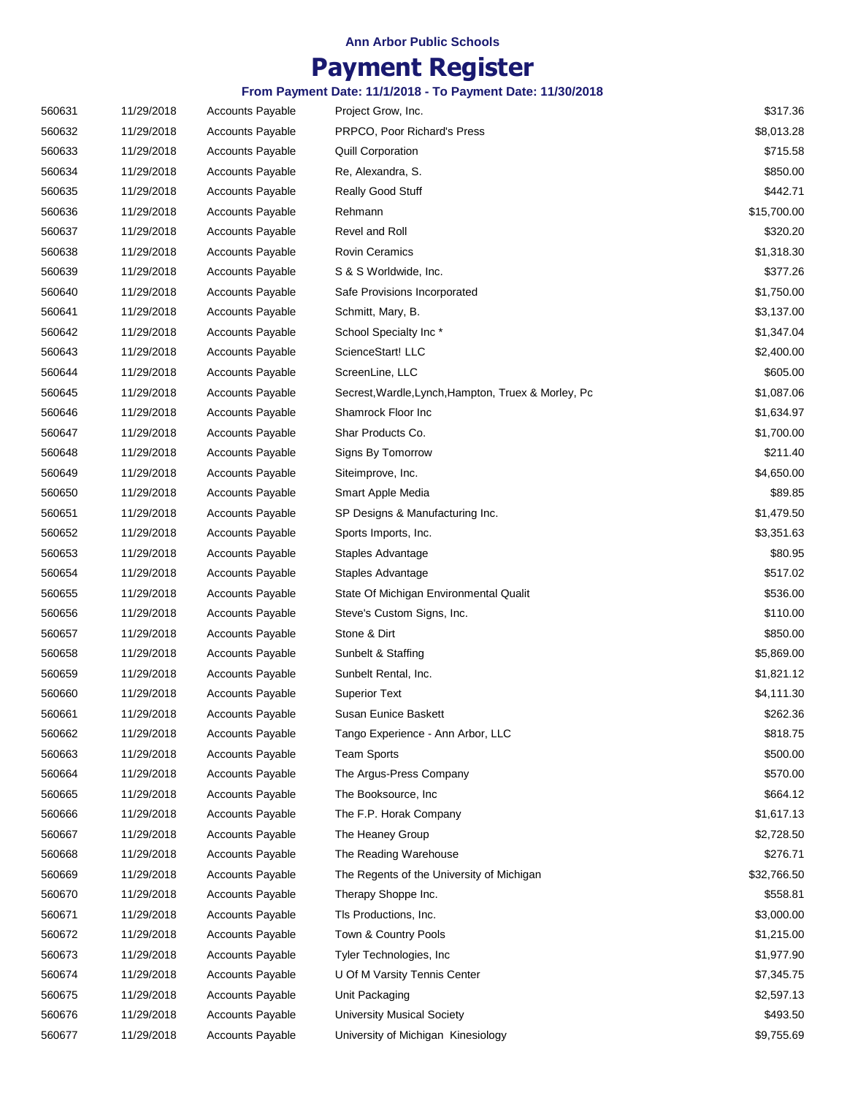## **Payment Register**

| 560631 | 11/29/2018 | <b>Accounts Payable</b> | Project Grow, Inc.                                  | \$317.36    |
|--------|------------|-------------------------|-----------------------------------------------------|-------------|
| 560632 | 11/29/2018 | <b>Accounts Payable</b> | <b>PRPCO, Poor Richard's Press</b>                  | \$8,013.28  |
| 560633 | 11/29/2018 | <b>Accounts Payable</b> | <b>Quill Corporation</b>                            | \$715.58    |
| 560634 | 11/29/2018 | <b>Accounts Payable</b> | Re, Alexandra, S.                                   | \$850.00    |
| 560635 | 11/29/2018 | <b>Accounts Payable</b> | Really Good Stuff                                   | \$442.71    |
| 560636 | 11/29/2018 | <b>Accounts Payable</b> | Rehmann                                             | \$15,700.00 |
| 560637 | 11/29/2018 | <b>Accounts Payable</b> | Revel and Roll                                      | \$320.20    |
| 560638 | 11/29/2018 | <b>Accounts Payable</b> | <b>Rovin Ceramics</b>                               | \$1,318.30  |
| 560639 | 11/29/2018 | <b>Accounts Payable</b> | S & S Worldwide, Inc.                               | \$377.26    |
| 560640 | 11/29/2018 | <b>Accounts Payable</b> | Safe Provisions Incorporated                        | \$1,750.00  |
| 560641 | 11/29/2018 | <b>Accounts Payable</b> | Schmitt, Mary, B.                                   | \$3,137.00  |
| 560642 | 11/29/2018 | <b>Accounts Payable</b> | School Specialty Inc*                               | \$1,347.04  |
| 560643 | 11/29/2018 | <b>Accounts Payable</b> | ScienceStart! LLC                                   | \$2,400.00  |
| 560644 | 11/29/2018 | <b>Accounts Payable</b> | ScreenLine, LLC                                     | \$605.00    |
| 560645 | 11/29/2018 | <b>Accounts Payable</b> | Secrest, Wardle, Lynch, Hampton, Truex & Morley, Pc | \$1,087.06  |
| 560646 | 11/29/2018 | <b>Accounts Payable</b> | Shamrock Floor Inc                                  | \$1,634.97  |
| 560647 | 11/29/2018 | <b>Accounts Payable</b> | Shar Products Co.                                   | \$1,700.00  |
| 560648 | 11/29/2018 | <b>Accounts Payable</b> | Signs By Tomorrow                                   | \$211.40    |
| 560649 | 11/29/2018 | <b>Accounts Payable</b> | Siteimprove, Inc.                                   | \$4,650.00  |
| 560650 | 11/29/2018 | <b>Accounts Payable</b> | Smart Apple Media                                   | \$89.85     |
| 560651 | 11/29/2018 | <b>Accounts Payable</b> | SP Designs & Manufacturing Inc.                     | \$1,479.50  |
| 560652 | 11/29/2018 | <b>Accounts Payable</b> | Sports Imports, Inc.                                | \$3,351.63  |
| 560653 | 11/29/2018 | <b>Accounts Payable</b> | Staples Advantage                                   | \$80.95     |
| 560654 | 11/29/2018 | <b>Accounts Payable</b> | Staples Advantage                                   | \$517.02    |
| 560655 | 11/29/2018 | <b>Accounts Payable</b> | State Of Michigan Environmental Qualit              | \$536.00    |
| 560656 | 11/29/2018 | <b>Accounts Payable</b> | Steve's Custom Signs, Inc.                          | \$110.00    |
| 560657 | 11/29/2018 | <b>Accounts Payable</b> | Stone & Dirt                                        | \$850.00    |
| 560658 | 11/29/2018 | <b>Accounts Payable</b> | Sunbelt & Staffing                                  | \$5,869.00  |
| 560659 | 11/29/2018 | <b>Accounts Payable</b> | Sunbelt Rental, Inc.                                | \$1,821.12  |
| 560660 | 11/29/2018 | <b>Accounts Payable</b> | <b>Superior Text</b>                                | \$4,111.30  |
| 560661 | 11/29/2018 | <b>Accounts Payable</b> | Susan Eunice Baskett                                | \$262.36    |
| 560662 | 11/29/2018 | <b>Accounts Payable</b> | Tango Experience - Ann Arbor, LLC                   | \$818.75    |
| 560663 | 11/29/2018 | <b>Accounts Payable</b> | <b>Team Sports</b>                                  | \$500.00    |
| 560664 | 11/29/2018 | <b>Accounts Payable</b> | The Argus-Press Company                             | \$570.00    |
| 560665 | 11/29/2018 | <b>Accounts Payable</b> | The Booksource, Inc                                 | \$664.12    |
| 560666 | 11/29/2018 | <b>Accounts Payable</b> | The F.P. Horak Company                              | \$1,617.13  |
| 560667 | 11/29/2018 | <b>Accounts Payable</b> | The Heaney Group                                    | \$2,728.50  |
| 560668 | 11/29/2018 | <b>Accounts Payable</b> | The Reading Warehouse                               | \$276.71    |
| 560669 | 11/29/2018 | <b>Accounts Payable</b> | The Regents of the University of Michigan           | \$32,766.50 |
| 560670 | 11/29/2018 | <b>Accounts Payable</b> | Therapy Shoppe Inc.                                 | \$558.81    |
| 560671 | 11/29/2018 | <b>Accounts Payable</b> | TIs Productions, Inc.                               | \$3,000.00  |
| 560672 | 11/29/2018 | <b>Accounts Payable</b> | Town & Country Pools                                | \$1,215.00  |
| 560673 | 11/29/2018 | <b>Accounts Payable</b> | Tyler Technologies, Inc.                            | \$1,977.90  |
| 560674 | 11/29/2018 | <b>Accounts Payable</b> | U Of M Varsity Tennis Center                        | \$7,345.75  |
| 560675 | 11/29/2018 | <b>Accounts Payable</b> | Unit Packaging                                      | \$2,597.13  |
| 560676 | 11/29/2018 | <b>Accounts Payable</b> | <b>University Musical Society</b>                   | \$493.50    |
| 560677 | 11/29/2018 | <b>Accounts Payable</b> | University of Michigan Kinesiology                  | \$9,755.69  |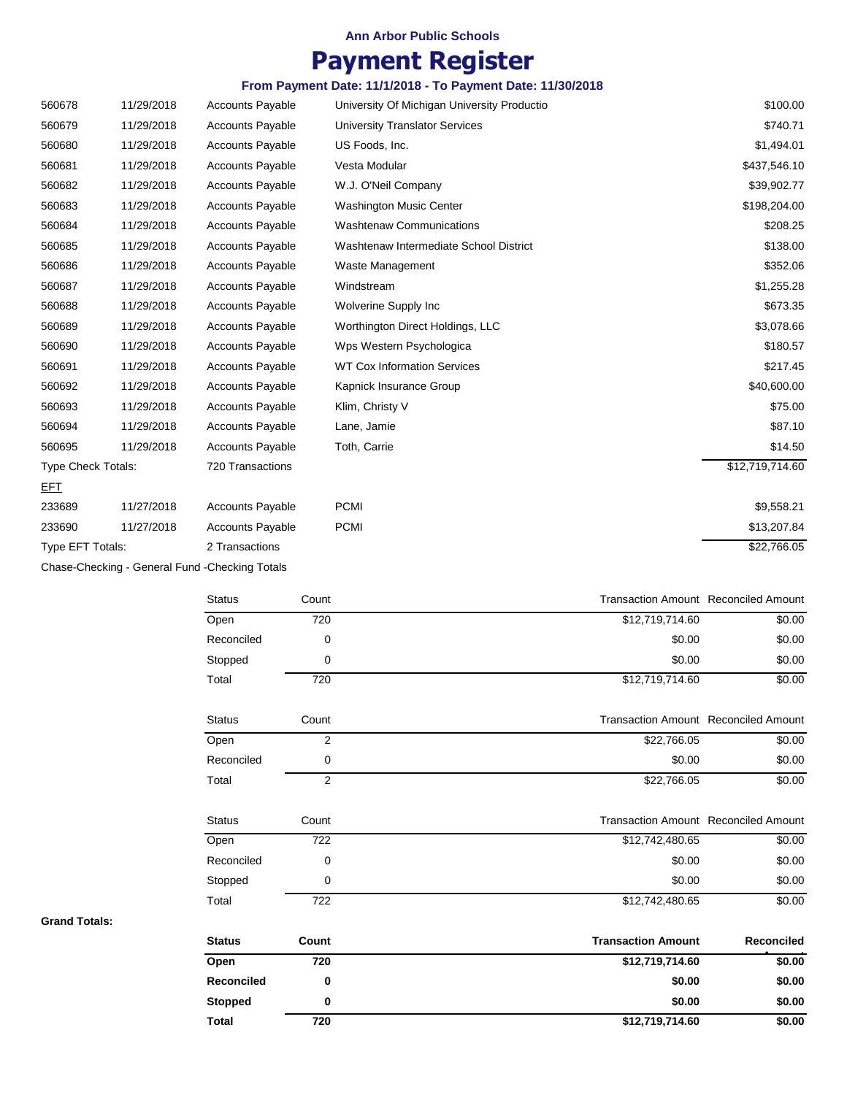## **Payment Register**

#### **From Payment Date: 11/1/2018 - To Payment Date: 11/30/2018**

| 560678                    | 11/29/2018 | <b>Accounts Payable</b>                      | University Of Michigan University Productio | \$100.00        |
|---------------------------|------------|----------------------------------------------|---------------------------------------------|-----------------|
| 560679                    | 11/29/2018 | <b>Accounts Payable</b>                      | <b>University Translator Services</b>       | \$740.71        |
| 560680                    | 11/29/2018 | <b>Accounts Payable</b>                      | US Foods, Inc.                              | \$1,494.01      |
| 560681                    | 11/29/2018 | <b>Accounts Payable</b>                      | Vesta Modular                               | \$437,546.10    |
| 560682                    | 11/29/2018 | <b>Accounts Payable</b>                      | W.J. O'Neil Company                         | \$39,902.77     |
| 560683                    | 11/29/2018 | <b>Accounts Payable</b>                      | <b>Washington Music Center</b>              | \$198,204.00    |
| 560684                    | 11/29/2018 | <b>Accounts Payable</b>                      | <b>Washtenaw Communications</b>             | \$208.25        |
| 560685                    | 11/29/2018 | <b>Accounts Payable</b>                      | Washtenaw Intermediate School District      | \$138.00        |
| 560686                    | 11/29/2018 | <b>Accounts Payable</b>                      | Waste Management                            | \$352.06        |
| 560687                    | 11/29/2018 | <b>Accounts Payable</b>                      | Windstream                                  | \$1,255.28      |
| 560688                    | 11/29/2018 | <b>Accounts Payable</b>                      | Wolverine Supply Inc                        | \$673.35        |
| 560689                    | 11/29/2018 | <b>Accounts Payable</b>                      | Worthington Direct Holdings, LLC            | \$3,078.66      |
| 560690                    | 11/29/2018 | <b>Accounts Payable</b>                      | Wps Western Psychologica                    | \$180.57        |
| 560691                    | 11/29/2018 | <b>Accounts Payable</b>                      | <b>WT Cox Information Services</b>          | \$217.45        |
| 560692                    | 11/29/2018 | <b>Accounts Payable</b>                      | Kapnick Insurance Group                     | \$40,600.00     |
| 560693                    | 11/29/2018 | <b>Accounts Payable</b>                      | Klim, Christy V                             | \$75.00         |
| 560694                    | 11/29/2018 | <b>Accounts Payable</b>                      | Lane, Jamie                                 | \$87.10         |
| 560695                    | 11/29/2018 | <b>Accounts Payable</b>                      | Toth, Carrie                                | \$14.50         |
| <b>Type Check Totals:</b> |            | 720 Transactions                             |                                             | \$12,719,714.60 |
| <b>EFT</b>                |            |                                              |                                             |                 |
| 233689                    | 11/27/2018 | <b>Accounts Payable</b>                      | <b>PCMI</b>                                 | \$9,558.21      |
| 233690                    | 11/27/2018 | <b>Accounts Payable</b>                      | <b>PCMI</b>                                 | \$13,207.84     |
| Type EFT Totals:          |            | 2 Transactions                               |                                             | \$22,766.05     |
|                           |            | Chose Chesking Conseal Fund, Chesking Totals |                                             |                 |

Chase-Checking - General Fund -Checking Totals

| <b>Status</b>     | Count       |                           | <b>Transaction Amount Reconciled Amount</b> |
|-------------------|-------------|---------------------------|---------------------------------------------|
| Open              | 720         | \$12,719,714.60           | \$0.00                                      |
| Reconciled        | 0           | \$0.00                    | \$0.00                                      |
| Stopped           | $\mathbf 0$ | \$0.00                    | \$0.00                                      |
| Total             | 720         | \$12,719,714.60           | \$0.00                                      |
| <b>Status</b>     | Count       |                           | <b>Transaction Amount Reconciled Amount</b> |
| Open              | 2           | \$22,766.05               | \$0.00                                      |
| Reconciled        | 0           | \$0.00                    | \$0.00                                      |
| Total             | 2           | \$22,766.05               | \$0.00                                      |
| <b>Status</b>     | Count       |                           | <b>Transaction Amount Reconciled Amount</b> |
| Open              | 722         | \$12,742,480.65           | \$0.00                                      |
| Reconciled        | $\Omega$    | \$0.00                    | \$0.00                                      |
| Stopped           | 0           | \$0.00                    | \$0.00                                      |
| Total             | 722         | \$12,742,480.65           | \$0.00                                      |
| <b>Status</b>     | Count       | <b>Transaction Amount</b> | Reconciled                                  |
| Open              | 720         | \$12,719,714.60           | \$0.00                                      |
| <b>Reconciled</b> | 0           | \$0.00                    | \$0.00                                      |
| <b>Stopped</b>    | 0           | \$0.00                    | \$0.00                                      |
| <b>Total</b>      | 720         | \$12,719,714.60           | \$0.00                                      |

#### **Grand Totals:**